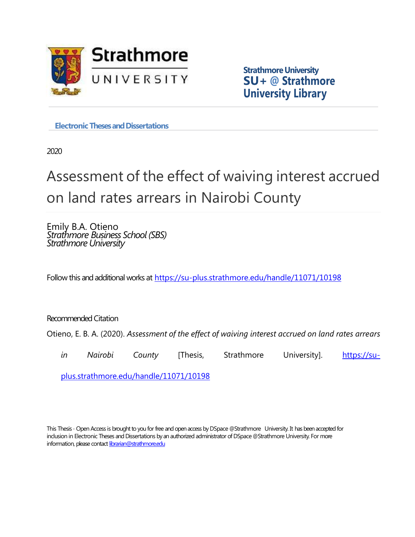

**Strathmore University SU+ @ Strathmore University Library**

**Electronic Theses and Dissertations** 

2020

# Assessment of the effect of waiving interest accrued on land rates arrears in Nairobi County

Emily B.A. Otieno *Strathmore Business School (SBS) Strathmore University*

Follow this and additional works at <https://su-plus.strathmore.edu/handle/11071/10198>

Recommended Citation

Otieno, E. B. A. (2020). *Assessment of the effect of waiving interest accrued on land rates arrears* 

*in* Nairobi County [Thesis, Strathmore University]. [https://su-](https://su-plus.strathmore.edu/handle/11071/10198)

[plus.strathmore.edu/handle/11071/10198](https://su-plus.strathmore.edu/handle/11071/10198)

This Thesis - Open Access is brought to you for free and open access by DSpace @Strathmore University. It has been accepted for inclusion in Electronic Theses and Dissertations by an authorized administrator of DSpace @Strathmore University. For more information, please contact librarian@strathmore.edu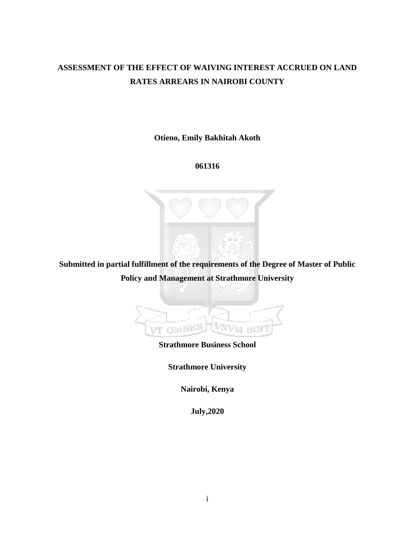# **ASSESSMENT OF THE EFFECT OF WAIVING INTEREST ACCRUED ON LAND RATES ARREARS IN NAIROBI COUNTY**

**Otieno, Emily Bakhitah Akoth** 

**061316**

**Submitted in partial fulfillment of the requirements of the Degree of Master of Public Policy and Management at Strathmore University** 



**Strathmore Business School** 

**Strathmore University** 

**Nairobi, Kenya** 

**July,2020**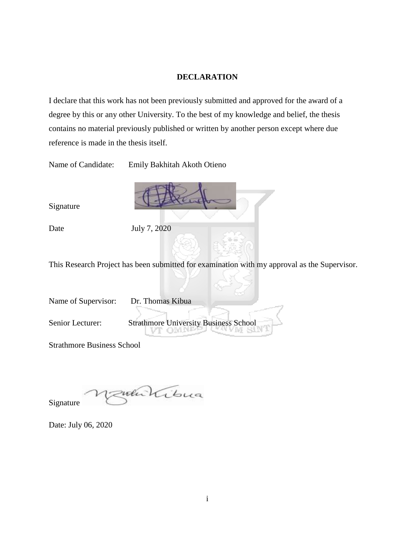#### **DECLARATION**

<span id="page-2-0"></span>I declare that this work has not been previously submitted and approved for the award of a degree by this or any other University. To the best of my knowledge and belief, the thesis contains no material previously published or written by another person except where due reference is made in the thesis itself.

Name of Candidate: Emily Bakhitah Akoth Otieno

Signature

Date July 7, 2020

This Research Project has been submitted for examination with my approval as the Supervisor.

Name of Supervisor: Dr. Thomas Kibua

Senior Lecturer: Strathmore University Business School

Strathmore Business School

zumlibua Signature

Date: July 06, 2020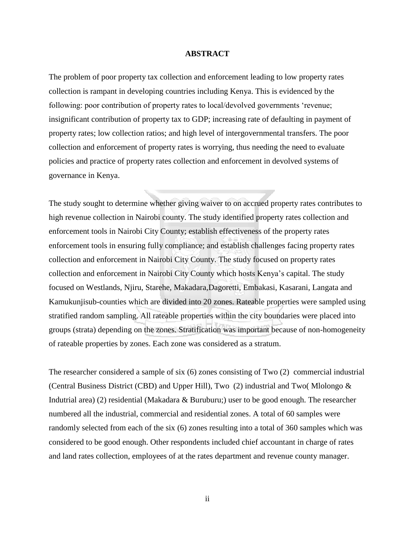#### **ABSTRACT**

<span id="page-3-1"></span><span id="page-3-0"></span>The problem of poor property tax collection and enforcement leading to low property rates collection is rampant in developing countries including Kenya. This is evidenced by the following: poor contribution of property rates to local/devolved governments 'revenue; insignificant contribution of property tax to GDP; increasing rate of defaulting in payment of property rates; low collection ratios; and high level of intergovernmental transfers. The poor collection and enforcement of property rates is worrying, thus needing the need to evaluate policies and practice of property rates collection and enforcement in devolved systems of governance in Kenya.

The study sought to determine whether giving waiver to on accrued property rates contributes to high revenue collection in Nairobi county. The study identified property rates collection and enforcement tools in Nairobi City County; establish effectiveness of the property rates enforcement tools in ensuring fully compliance; and establish challenges facing property rates collection and enforcement in Nairobi City County. The study focused on property rates collection and enforcement in Nairobi City County which hosts Kenya's capital. The study focused on Westlands, Njiru, Starehe, Makadara,Dagoretti, Embakasi, Kasarani, Langata and Kamukunjisub-counties which are divided into 20 zones. Rateable properties were sampled using stratified random sampling. All rateable properties within the city boundaries were placed into groups (strata) depending on the zones. Stratification was important because of non-homogeneity of rateable properties by zones. Each zone was considered as a stratum.

The researcher considered a sample of six (6) zones consisting of Two (2) commercial industrial (Central Business District (CBD) and Upper Hill), Two (2) industrial and Two( Mlolongo & Indutrial area) (2) residential (Makadara & Buruburu;) user to be good enough. The researcher numbered all the industrial, commercial and residential zones. A total of 60 samples were randomly selected from each of the six (6) zones resulting into a total of 360 samples which was considered to be good enough. Other respondents included chief accountant in charge of rates and land rates collection, employees of at the rates department and revenue county manager.

ii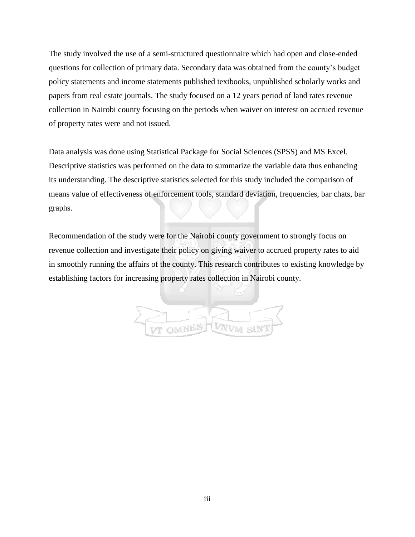The study involved the use of a semi-structured questionnaire which had open and close-ended questions for collection of primary data. Secondary data was obtained from the county's budget policy statements and income statements published textbooks, unpublished scholarly works and papers from real estate journals. The study focused on a 12 years period of land rates revenue collection in Nairobi county focusing on the periods when waiver on interest on accrued revenue of property rates were and not issued.

Data analysis was done using Statistical Package for Social Sciences (SPSS) and MS Excel. Descriptive statistics was performed on the data to summarize the variable data thus enhancing its understanding. The descriptive statistics selected for this study included the comparison of means value of effectiveness of enforcement tools, standard deviation, frequencies, bar chats, bar graphs.

Recommendation of the study were for the Nairobi county government to strongly focus on revenue collection and investigate their policy on giving waiver to accrued property rates to aid in smoothly running the affairs of the county. This research contributes to existing knowledge by establishing factors for increasing property rates collection in Nairobi county.

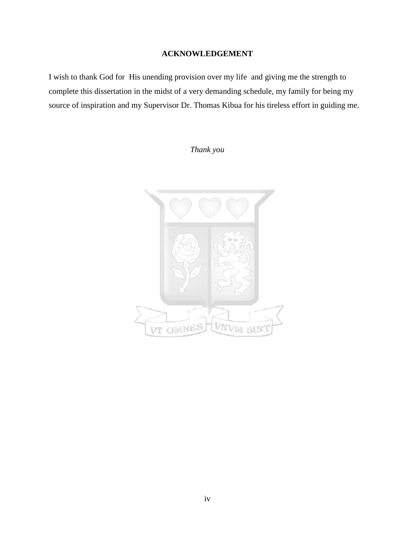# **ACKNOWLEDGEMENT**

I wish to thank God for His unending provision over my life and giving me the strength to complete this dissertation in the midst of a very demanding schedule, my family for being my source of inspiration and my Supervisor Dr. Thomas Kibua for his tireless effort in guiding me.

*Thank you* 

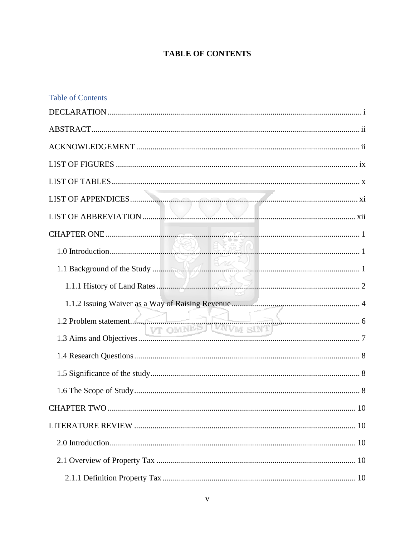# **TABLE OF CONTENTS**

| <b>Table of Contents</b> |  |
|--------------------------|--|
|                          |  |
|                          |  |
|                          |  |
|                          |  |
|                          |  |
|                          |  |
|                          |  |
|                          |  |
|                          |  |
|                          |  |
|                          |  |
|                          |  |
|                          |  |
|                          |  |
|                          |  |
|                          |  |
|                          |  |
|                          |  |
|                          |  |
|                          |  |
|                          |  |
|                          |  |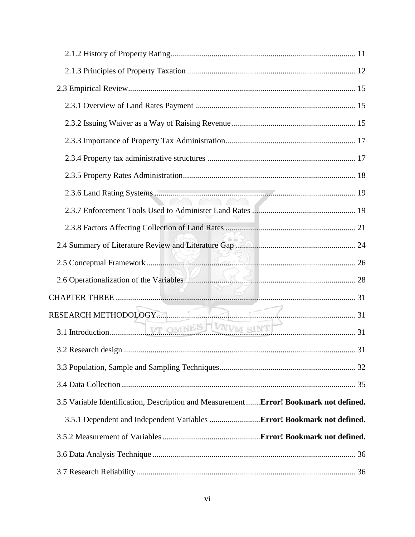| 3.2 Research design                                                                    | 31 |
|----------------------------------------------------------------------------------------|----|
|                                                                                        |    |
|                                                                                        |    |
| 3.5 Variable Identification, Description and Measurement  Error! Bookmark not defined. |    |
| 3.5.1 Dependent and Independent Variables  Error! Bookmark not defined.                |    |
|                                                                                        |    |
|                                                                                        |    |
|                                                                                        |    |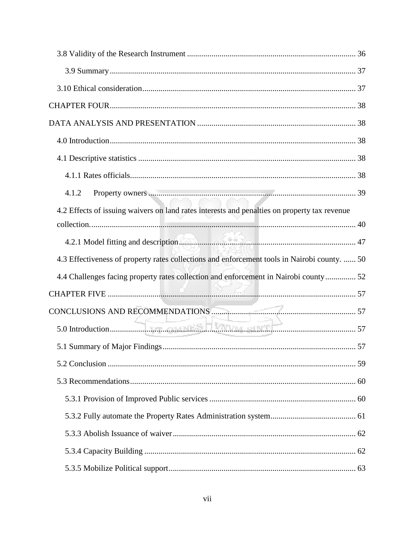| Property owners 39<br>4.1.2                                                                  |  |
|----------------------------------------------------------------------------------------------|--|
| 4.2 Effects of issuing waivers on land rates interests and penalties on property tax revenue |  |
|                                                                                              |  |
| 4.3 Effectiveness of property rates collections and enforcement tools in Nairobi county.  50 |  |
| 4.4 Challenges facing property rates collection and enforcement in Nairobi county 52         |  |
|                                                                                              |  |
|                                                                                              |  |
|                                                                                              |  |
|                                                                                              |  |
|                                                                                              |  |
|                                                                                              |  |
|                                                                                              |  |
|                                                                                              |  |
|                                                                                              |  |
|                                                                                              |  |
|                                                                                              |  |
|                                                                                              |  |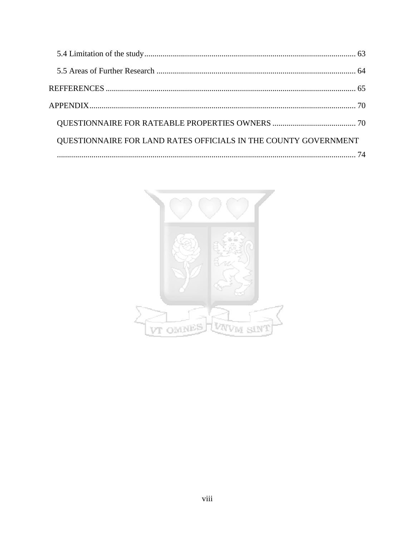| QUESTIONNAIRE FOR LAND RATES OFFICIALS IN THE COUNTY GOVERNMENT |  |
|-----------------------------------------------------------------|--|
|                                                                 |  |

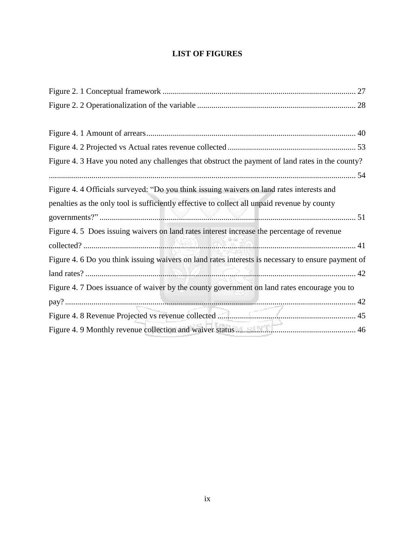# **LIST OF FIGURES**

<span id="page-10-0"></span>

| Figure 4. 3 Have you noted any challenges that obstruct the payment of land rates in the county?   |
|----------------------------------------------------------------------------------------------------|
|                                                                                                    |
| Figure 4.4 Officials surveyed: "Do you think issuing waivers on land rates interests and           |
| penalties as the only tool is sufficiently effective to collect all unpaid revenue by county       |
|                                                                                                    |
| Figure 4.5 Does issuing waivers on land rates interest increase the percentage of revenue          |
|                                                                                                    |
| Figure 4. 6 Do you think issuing waivers on land rates interests is necessary to ensure payment of |
|                                                                                                    |
| Figure 4. 7 Does issuance of waiver by the county government on land rates encourage you to        |
|                                                                                                    |
|                                                                                                    |
|                                                                                                    |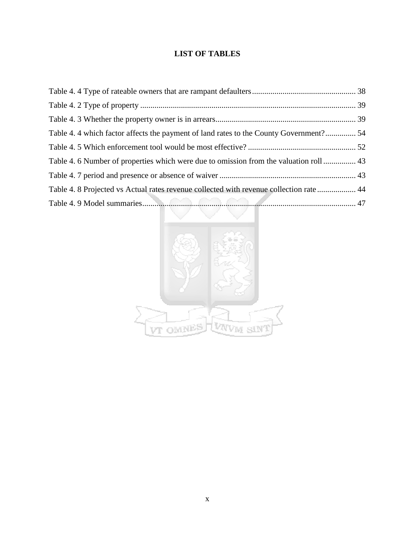# **LIST OF TABLES**

<span id="page-11-0"></span>

| Table 4.4 which factor affects the payment of land rates to the County Government? 54   |  |
|-----------------------------------------------------------------------------------------|--|
|                                                                                         |  |
| Table 4. 6 Number of properties which were due to omission from the valuation roll 43   |  |
|                                                                                         |  |
| Table 4. 8 Projected vs Actual rates revenue collected with revenue collection rate  44 |  |
|                                                                                         |  |

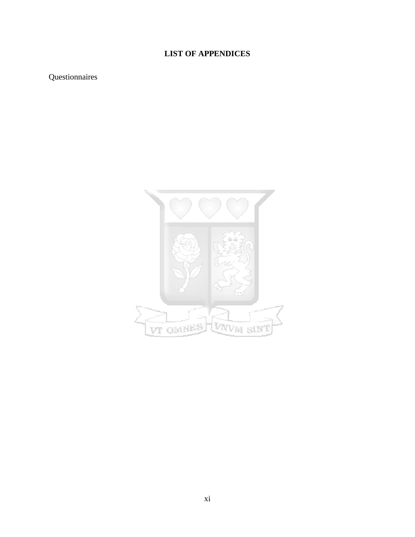# **LIST OF APPENDICES**

# <span id="page-12-0"></span>Questionnaires

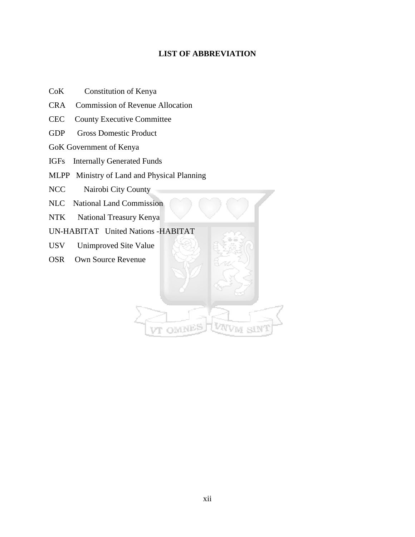# **LIST OF ABBREVIATION**

- <span id="page-13-0"></span>CoK Constitution of Kenya
- CRA Commission of Revenue Allocation
- CEC County Executive Committee
- GDP Gross Domestic Product
- GoK Government of Kenya
- IGFs Internally Generated Funds
- MLPP Ministry of Land and Physical Planning

NCC Nairobi City County

- NLC National Land Commission
- NTK National Treasury Kenya

UN-HABITAT United Nations -HABITAT

- USV Unimproved Site Value
- OSR Own Source Revenue

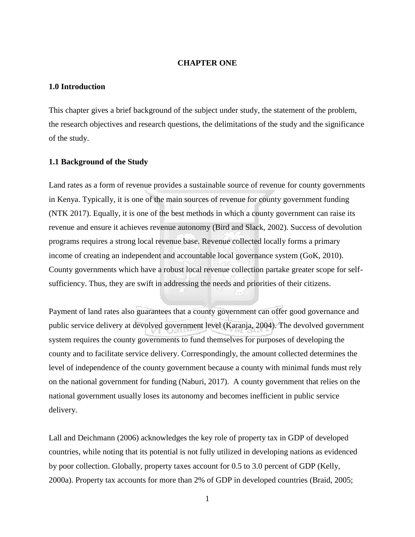#### **CHAPTER ONE**

#### <span id="page-14-1"></span><span id="page-14-0"></span>**1.0 Introduction**

This chapter gives a brief background of the subject under study, the statement of the problem, the research objectives and research questions, the delimitations of the study and the significance of the study.

#### <span id="page-14-2"></span>**1.1 Background of the Study**

Land rates as a form of revenue provides a sustainable source of revenue for county governments in Kenya. Typically, it is one of the main sources of revenue for county government funding (NTK 2017). Equally, it is one of the best methods in which a county government can raise its revenue and ensure it achieves revenue autonomy (Bird and Slack, 2002). Success of devolution programs requires a strong local revenue base. Revenue collected locally forms a primary income of creating an independent and accountable local governance system (GoK, 2010). County governments which have a robust local revenue collection partake greater scope for selfsufficiency. Thus, they are swift in addressing the needs and priorities of their citizens.

Payment of land rates also guarantees that a county government can offer good governance and public service delivery at devolved government level (Karanja, 2004). The devolved government system requires the county governments to fund themselves for purposes of developing the county and to facilitate service delivery. Correspondingly, the amount collected determines the level of independence of the county government because a county with minimal funds must rely on the national government for funding (Naburi, 2017). A county government that relies on the national government usually loses its autonomy and becomes inefficient in public service delivery.

Lall and Deichmann (2006) acknowledges the key role of property tax in GDP of developed countries, while noting that its potential is not fully utilized in developing nations as evidenced by poor collection. Globally, property taxes account for 0.5 to 3.0 percent of GDP (Kelly, 2000a). Property tax accounts for more than 2% of GDP in developed countries (Braid, 2005;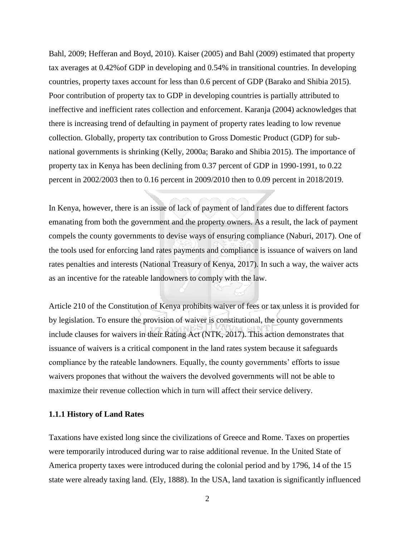Bahl, 2009; Hefferan and Boyd, 2010). Kaiser (2005) and Bahl (2009) estimated that property tax averages at 0.42%of GDP in developing and 0.54% in transitional countries. In developing countries, property taxes account for less than 0.6 percent of GDP (Barako and Shibia 2015). Poor contribution of property tax to GDP in developing countries is partially attributed to ineffective and inefficient rates collection and enforcement. Karanja (2004) acknowledges that there is increasing trend of defaulting in payment of property rates leading to low revenue collection. Globally, property tax contribution to Gross Domestic Product (GDP) for subnational governments is shrinking (Kelly, 2000a; Barako and Shibia 2015). The importance of property tax in Kenya has been declining from 0.37 percent of GDP in 1990-1991, to 0.22 percent in 2002/2003 then to 0.16 percent in 2009/2010 then to 0.09 percent in 2018/2019.

In Kenya, however, there is an issue of lack of payment of land rates due to different factors emanating from both the government and the property owners. As a result, the lack of payment compels the county governments to devise ways of ensuring compliance (Naburi, 2017). One of the tools used for enforcing land rates payments and compliance is issuance of waivers on land rates penalties and interests (National Treasury of Kenya, 2017). In such a way, the waiver acts as an incentive for the rateable landowners to comply with the law.

Article 210 of the Constitution of Kenya prohibits waiver of fees or tax unless it is provided for by legislation. To ensure the provision of waiver is constitutional, the county governments include clauses for waivers in their Rating Act (NTK, 2017). This action demonstrates that issuance of waivers is a critical component in the land rates system because it safeguards compliance by the rateable landowners. Equally, the county governments' efforts to issue waivers propones that without the waivers the devolved governments will not be able to maximize their revenue collection which in turn will affect their service delivery.

#### <span id="page-15-0"></span>**1.1.1 History of Land Rates**

Taxations have existed long since the civilizations of Greece and Rome. Taxes on properties were temporarily introduced during war to raise additional revenue. In the United State of America property taxes were introduced during the colonial period and by 1796, 14 of the 15 state were already taxing land. (Ely, 1888). In the USA, land taxation is significantly influenced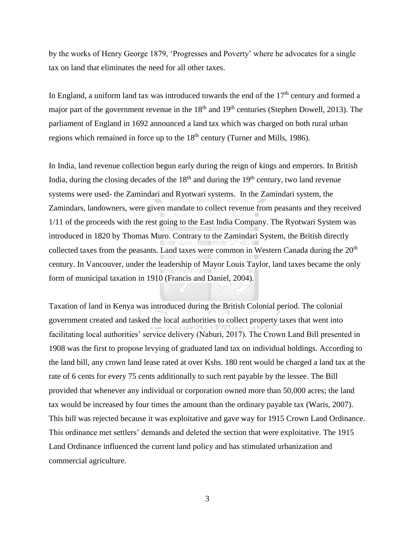by the works of Henry George 1879, 'Progresses and Poverty' where he advocates for a single tax on land that eliminates the need for all other taxes.

In England, a uniform land tax was introduced towards the end of the  $17<sup>th</sup>$  century and formed a major part of the government revenue in the  $18<sup>th</sup>$  and  $19<sup>th</sup>$  centuries (Stephen Dowell, 2013). The parliament of England in 1692 announced a land tax which was charged on both rural urban regions which remained in force up to the  $18<sup>th</sup>$  century (Turner and Mills, 1986).

In India, land revenue collection begun early during the reign of kings and emperors. In British India, during the closing decades of the  $18<sup>th</sup>$  and during the  $19<sup>th</sup>$  century, two land revenue systems were used- the Zamindari and Ryotwari systems. In the Zamindari system, the Zamindars, landowners, were given mandate to collect revenue from peasants and they received 1/11 of the proceeds with the rest going to the East India Company. The Ryotwari System was introduced in 1820 by Thomas Muro. Contrary to the Zamindari System, the British directly collected taxes from the peasants. Land taxes were common in Western Canada during the  $20<sup>th</sup>$ century. In Vancouver, under the leadership of Mayor Louis Taylor, land taxes became the only form of municipal taxation in 1910 (Francis and Daniel, 2004).

Taxation of land in Kenya was introduced during the British Colonial period. The colonial government created and tasked the local authorities to collect property taxes that went into facilitating local authorities' service delivery (Naburi, 2017). The Crown Land Bill presented in 1908 was the first to propose levying of graduated land tax on individual holdings. According to the land bill, any crown land lease rated at over Kshs. 180 rent would be charged a land tax at the rate of 6 cents for every 75 cents additionally to such rent payable by the lessee. The Bill provided that whenever any individual or corporation owned more than 50,000 acres; the land tax would be increased by four times the amount than the ordinary payable tax (Waris, 2007). This bill was rejected because it was exploitative and gave way for 1915 Crown Land Ordinance. This ordinance met settlers' demands and deleted the section that were exploitative. The 1915 Land Ordinance influenced the current land policy and has stimulated urbanization and commercial agriculture.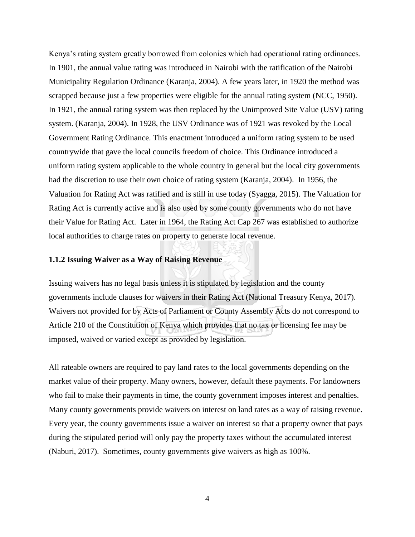Kenya's rating system greatly borrowed from colonies which had operational rating ordinances. In 1901, the annual value rating was introduced in Nairobi with the ratification of the Nairobi Municipality Regulation Ordinance (Karanja, 2004). A few years later, in 1920 the method was scrapped because just a few properties were eligible for the annual rating system (NCC, 1950). In 1921, the annual rating system was then replaced by the Unimproved Site Value (USV) rating system. (Karanja, 2004). In 1928, the USV Ordinance was of 1921 was revoked by the Local Government Rating Ordinance. This enactment introduced a uniform rating system to be used countrywide that gave the local councils freedom of choice. This Ordinance introduced a uniform rating system applicable to the whole country in general but the local city governments had the discretion to use their own choice of rating system (Karanja, 2004). In 1956, the Valuation for Rating Act was ratified and is still in use today (Syagga, 2015). The Valuation for Rating Act is currently active and is also used by some county governments who do not have their Value for Rating Act. Later in 1964, the Rating Act Cap 267 was established to authorize local authorities to charge rates on property to generate local revenue.

#### <span id="page-17-0"></span>**1.1.2 Issuing Waiver as a Way of Raising Revenue**

Issuing waivers has no legal basis unless it is stipulated by legislation and the county governments include clauses for waivers in their Rating Act (National Treasury Kenya, 2017). Waivers not provided for by Acts of Parliament or County Assembly Acts do not correspond to Article 210 of the Constitution of Kenya which provides that no tax or licensing fee may be imposed, waived or varied except as provided by legislation.

All rateable owners are required to pay land rates to the local governments depending on the market value of their property. Many owners, however, default these payments. For landowners who fail to make their payments in time, the county government imposes interest and penalties. Many county governments provide waivers on interest on land rates as a way of raising revenue. Every year, the county governments issue a waiver on interest so that a property owner that pays during the stipulated period will only pay the property taxes without the accumulated interest (Naburi, 2017). Sometimes, county governments give waivers as high as 100%.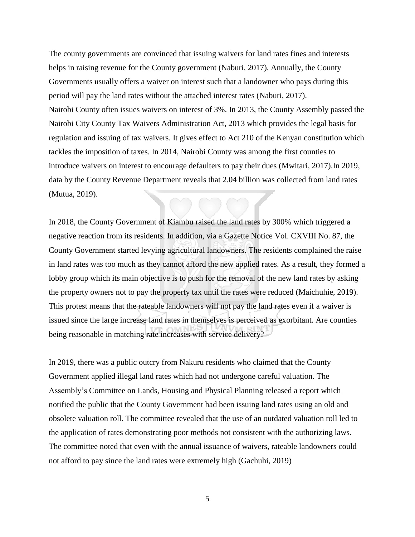The county governments are convinced that issuing waivers for land rates fines and interests helps in raising revenue for the County government (Naburi, 2017). Annually, the County Governments usually offers a waiver on interest such that a landowner who pays during this period will pay the land rates without the attached interest rates (Naburi, 2017). Nairobi County often issues waivers on interest of 3%. In 2013, the County Assembly passed the Nairobi City County Tax Waivers Administration Act, 2013 which provides the legal basis for regulation and issuing of tax waivers. It gives effect to Act 210 of the Kenyan constitution which tackles the imposition of taxes. In 2014, Nairobi County was among the first counties to introduce waivers on interest to encourage defaulters to pay their dues (Mwitari, 2017).In 2019, data by the County Revenue Department reveals that 2.04 billion was collected from land rates (Mutua, 2019).

In 2018, the County Government of Kiambu raised the land rates by 300% which triggered a negative reaction from its residents. In addition, via a Gazette Notice Vol. CXVIII No. 87, the County Government started levying agricultural landowners. The residents complained the raise in land rates was too much as they cannot afford the new applied rates. As a result, they formed a lobby group which its main objective is to push for the removal of the new land rates by asking the property owners not to pay the property tax until the rates were reduced (Maichuhie, 2019). This protest means that the rateable landowners will not pay the land rates even if a waiver is issued since the large increase land rates in themselves is perceived as exorbitant. Are counties being reasonable in matching rate increases with service delivery?

In 2019, there was a public outcry from Nakuru residents who claimed that the County Government applied illegal land rates which had not undergone careful valuation. The Assembly's Committee on Lands, Housing and Physical Planning released a report which notified the public that the County Government had been issuing land rates using an old and obsolete valuation roll. The committee revealed that the use of an outdated valuation roll led to the application of rates demonstrating poor methods not consistent with the authorizing laws. The committee noted that even with the annual issuance of waivers, rateable landowners could not afford to pay since the land rates were extremely high (Gachuhi, 2019)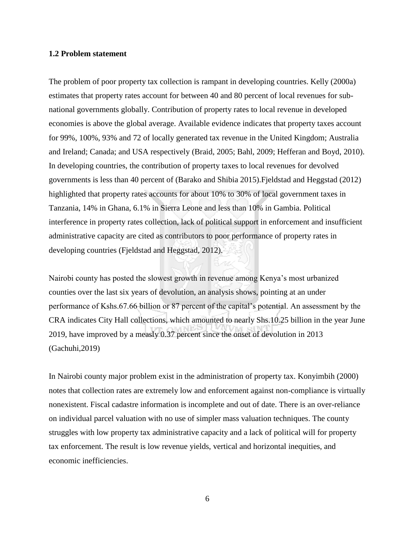#### <span id="page-19-0"></span>**1.2 Problem statement**

The problem of poor property tax collection is rampant in developing countries. Kelly (2000a) estimates that property rates account for between 40 and 80 percent of local revenues for subnational governments globally. Contribution of property rates to local revenue in developed economies is above the global average. Available evidence indicates that property taxes account for 99%, 100%, 93% and 72 of locally generated tax revenue in the United Kingdom; Australia and Ireland; Canada; and USA respectively (Braid, 2005; Bahl, 2009; Hefferan and Boyd, 2010). In developing countries, the contribution of property taxes to local revenues for devolved governments is less than 40 percent of (Barako and Shibia 2015).Fjeldstad and Heggstad (2012) highlighted that property rates accounts for about 10% to 30% of local government taxes in Tanzania, 14% in Ghana, 6.1% in Sierra Leone and less than 10% in Gambia. Political interference in property rates collection, lack of political support in enforcement and insufficient administrative capacity are cited as contributors to poor performance of property rates in developing countries (Fjeldstad and Heggstad, 2012).

Nairobi county has posted the slowest growth in revenue among Kenya's most urbanized counties over the last six years of devolution, an analysis shows, pointing at an under performance of Kshs.67.66 billion or 87 percent of the capital's potential. An assessment by the CRA indicates City Hall collections, which amounted to nearly Shs.10.25 billion in the year June 2019, have improved by a measly 0.37 percent since the onset of devolution in 2013 (Gachuhi,2019)

In Nairobi county major problem exist in the administration of property tax. Konyimbih (2000) notes that collection rates are extremely low and enforcement against non-compliance is virtually nonexistent. Fiscal cadastre information is incomplete and out of date. There is an over-reliance on individual parcel valuation with no use of simpler mass valuation techniques. The county struggles with low property tax administrative capacity and a lack of political will for property tax enforcement. The result is low revenue yields, vertical and horizontal inequities, and economic inefficiencies.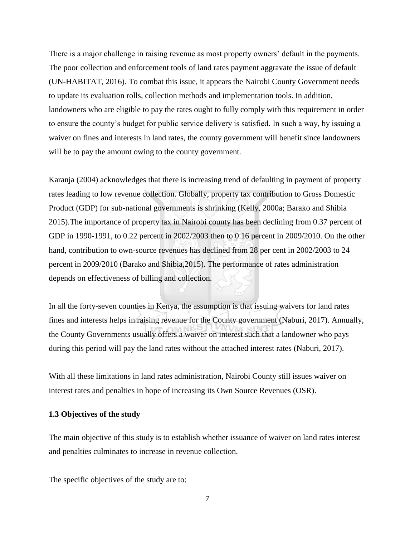There is a major challenge in raising revenue as most property owners' default in the payments. The poor collection and enforcement tools of land rates payment aggravate the issue of default (UN-HABITAT, 2016). To combat this issue, it appears the Nairobi County Government needs to update its evaluation rolls, collection methods and implementation tools. In addition, landowners who are eligible to pay the rates ought to fully comply with this requirement in order to ensure the county's budget for public service delivery is satisfied. In such a way, by issuing a waiver on fines and interests in land rates, the county government will benefit since landowners will be to pay the amount owing to the county government.

Karanja (2004) acknowledges that there is increasing trend of defaulting in payment of property rates leading to low revenue collection. Globally, property tax contribution to Gross Domestic Product (GDP) for sub-national governments is shrinking (Kelly, 2000a; Barako and Shibia 2015).The importance of property tax in Nairobi county has been declining from 0.37 percent of GDP in 1990-1991, to 0.22 percent in 2002/2003 then to 0.16 percent in 2009/2010. On the other hand, contribution to own-source revenues has declined from 28 per cent in 2002/2003 to 24 percent in 2009/2010 (Barako and Shibia,2015). The performance of rates administration depends on effectiveness of billing and collection.

In all the forty-seven counties in Kenya, the assumption is that issuing waivers for land rates fines and interests helps in raising revenue for the County government (Naburi, 2017). Annually, the County Governments usually offers a waiver on interest such that a landowner who pays during this period will pay the land rates without the attached interest rates (Naburi, 2017).

With all these limitations in land rates administration, Nairobi County still issues waiver on interest rates and penalties in hope of increasing its Own Source Revenues (OSR).

#### <span id="page-20-0"></span>**1.3 Objectives of the study**

The main objective of this study is to establish whether issuance of waiver on land rates interest and penalties culminates to increase in revenue collection.

The specific objectives of the study are to: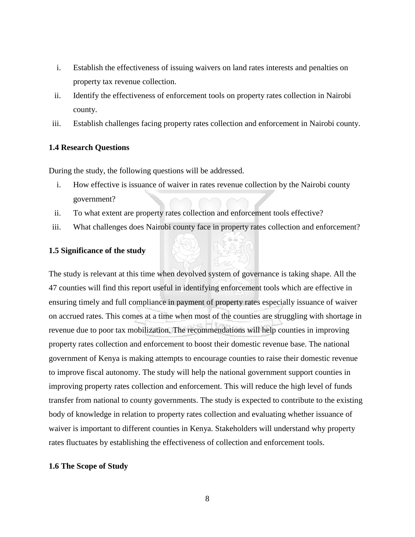- i. Establish the effectiveness of issuing waivers on land rates interests and penalties on property tax revenue collection.
- ii. Identify the effectiveness of enforcement tools on property rates collection in Nairobi county.
- iii. Establish challenges facing property rates collection and enforcement in Nairobi county.

#### <span id="page-21-0"></span>**1.4 Research Questions**

During the study, the following questions will be addressed.

- i. How effective is issuance of waiver in rates revenue collection by the Nairobi county government?
- ii. To what extent are property rates collection and enforcement tools effective?
- iii. What challenges does Nairobi county face in property rates collection and enforcement?

#### <span id="page-21-1"></span>**1.5 Significance of the study**

The study is relevant at this time when devolved system of governance is taking shape. All the 47 counties will find this report useful in identifying enforcement tools which are effective in ensuring timely and full compliance in payment of property rates especially issuance of waiver on accrued rates. This comes at a time when most of the counties are struggling with shortage in revenue due to poor tax mobilization. The recommendations will help counties in improving property rates collection and enforcement to boost their domestic revenue base. The national government of Kenya is making attempts to encourage counties to raise their domestic revenue to improve fiscal autonomy. The study will help the national government support counties in improving property rates collection and enforcement. This will reduce the high level of funds transfer from national to county governments. The study is expected to contribute to the existing body of knowledge in relation to property rates collection and evaluating whether issuance of waiver is important to different counties in Kenya. Stakeholders will understand why property rates fluctuates by establishing the effectiveness of collection and enforcement tools.

#### <span id="page-21-2"></span>**1.6 The Scope of Study**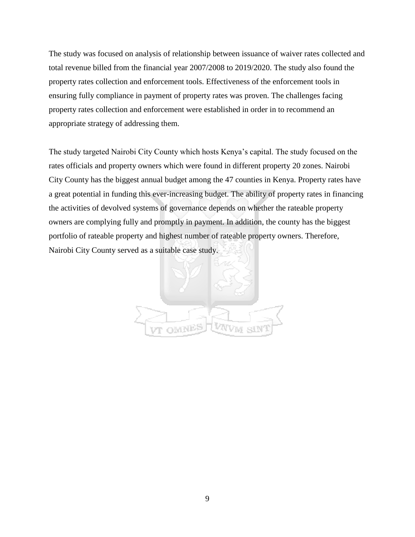The study was focused on analysis of relationship between issuance of waiver rates collected and total revenue billed from the financial year 2007/2008 to 2019/2020. The study also found the property rates collection and enforcement tools. Effectiveness of the enforcement tools in ensuring fully compliance in payment of property rates was proven. The challenges facing property rates collection and enforcement were established in order in to recommend an appropriate strategy of addressing them.

The study targeted Nairobi City County which hosts Kenya's capital. The study focused on the rates officials and property owners which were found in different property 20 zones. Nairobi City County has the biggest annual budget among the 47 counties in Kenya. Property rates have a great potential in funding this ever-increasing budget. The ability of property rates in financing the activities of devolved systems of governance depends on whether the rateable property owners are complying fully and promptly in payment. In addition, the county has the biggest portfolio of rateable property and highest number of rateable property owners. Therefore, Nairobi City County served as a suitable case study.

<span id="page-22-0"></span>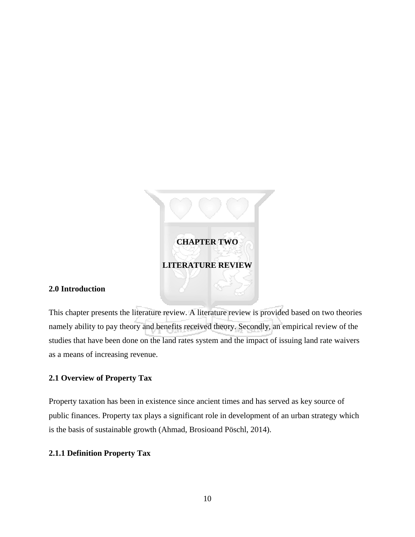

## <span id="page-23-1"></span><span id="page-23-0"></span>**2.0 Introduction**

This chapter presents the literature review. A literature review is provided based on two theories namely ability to pay theory and benefits received theory. Secondly, an empirical review of the studies that have been done on the land rates system and the impact of issuing land rate waivers as a means of increasing revenue.

# <span id="page-23-2"></span>**2.1 Overview of Property Tax**

Property taxation has been in existence since ancient times and has served as key source of public finances. Property tax plays a significant role in development of an urban strategy which is the basis of sustainable growth (Ahmad, Brosioand Pöschl, 2014).

## <span id="page-23-3"></span>**2.1.1 Definition Property Tax**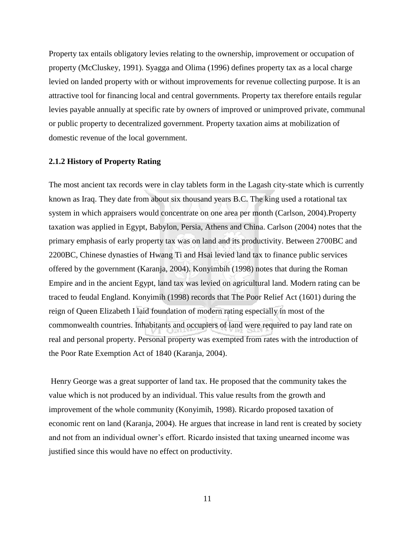Property tax entails obligatory levies relating to the ownership, improvement or occupation of property (McCluskey, 1991). Syagga and Olima (1996) defines property tax as a local charge levied on landed property with or without improvements for revenue collecting purpose. It is an attractive tool for financing local and central governments. Property tax therefore entails regular levies payable annually at specific rate by owners of improved or unimproved private, communal or public property to decentralized government. Property taxation aims at mobilization of domestic revenue of the local government.

#### <span id="page-24-0"></span>**2.1.2 History of Property Rating**

The most ancient tax records were in clay tablets form in the Lagash city-state which is currently known as Iraq. They date from about six thousand years B.C. The king used a rotational tax system in which appraisers would concentrate on one area per month (Carlson, 2004). Property taxation was applied in Egypt, Babylon, Persia, Athens and China. Carlson (2004) notes that the primary emphasis of early property tax was on land and its productivity. Between 2700BC and 2200BC, Chinese dynasties of Hwang Ti and Hsai levied land tax to finance public services offered by the government (Karanja, 2004). Konyimbih (1998) notes that during the Roman Empire and in the ancient Egypt, land tax was levied on agricultural land. Modern rating can be traced to feudal England. Konyimih (1998) records that The Poor Relief Act (1601) during the reign of Queen Elizabeth I laid foundation of modern rating especially in most of the commonwealth countries. Inhabitants and occupiers of land were required to pay land rate on real and personal property. Personal property was exempted from rates with the introduction of the Poor Rate Exemption Act of 1840 (Karanja, 2004).

Henry George was a great supporter of land tax. He proposed that the community takes the value which is not produced by an individual. This value results from the growth and improvement of the whole community (Konyimih, 1998). Ricardo proposed taxation of economic rent on land (Karanja, 2004). He argues that increase in land rent is created by society and not from an individual owner's effort. Ricardo insisted that taxing unearned income was justified since this would have no effect on productivity.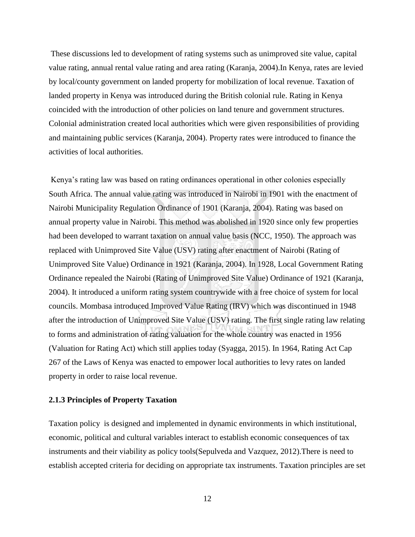These discussions led to development of rating systems such as unimproved site value, capital value rating, annual rental value rating and area rating (Karanja, 2004).In Kenya, rates are levied by local/county government on landed property for mobilization of local revenue. Taxation of landed property in Kenya was introduced during the British colonial rule. Rating in Kenya coincided with the introduction of other policies on land tenure and government structures. Colonial administration created local authorities which were given responsibilities of providing and maintaining public services (Karanja, 2004). Property rates were introduced to finance the activities of local authorities.

Kenya's rating law was based on rating ordinances operational in other colonies especially South Africa. The annual value rating was introduced in Nairobi in 1901 with the enactment of Nairobi Municipality Regulation Ordinance of 1901 (Karanja, 2004). Rating was based on annual property value in Nairobi. This method was abolished in 1920 since only few properties had been developed to warrant taxation on annual value basis (NCC, 1950). The approach was replaced with Unimproved Site Value (USV) rating after enactment of Nairobi (Rating of Unimproved Site Value) Ordinance in 1921 (Karanja, 2004). In 1928, Local Government Rating Ordinance repealed the Nairobi (Rating of Unimproved Site Value) Ordinance of 1921 (Karanja, 2004). It introduced a uniform rating system countrywide with a free choice of system for local councils. Mombasa introduced Improved Value Rating (IRV) which was discontinued in 1948 after the introduction of Unimproved Site Value (USV) rating. The first single rating law relating to forms and administration of rating valuation for the whole country was enacted in 1956 (Valuation for Rating Act) which still applies today (Syagga, 2015). In 1964, Rating Act Cap 267 of the Laws of Kenya was enacted to empower local authorities to levy rates on landed property in order to raise local revenue.

#### <span id="page-25-0"></span>**2.1.3 Principles of Property Taxation**

Taxation policy is designed and implemented in dynamic environments in which institutional, economic, political and cultural variables interact to establish economic consequences of tax instruments and their viability as policy tools(Sepulveda and Vazquez, 2012).There is need to establish accepted criteria for deciding on appropriate tax instruments. Taxation principles are set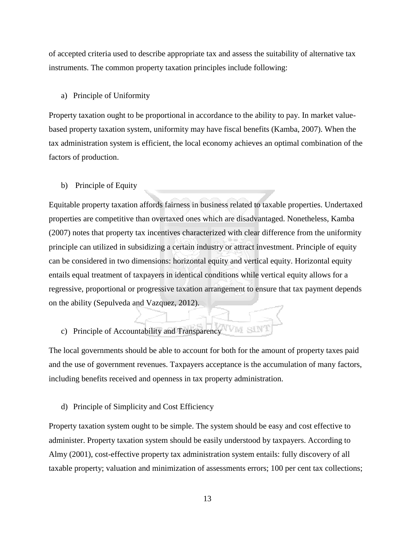of accepted criteria used to describe appropriate tax and assess the suitability of alternative tax instruments. The common property taxation principles include following:

#### a) Principle of Uniformity

Property taxation ought to be proportional in accordance to the ability to pay. In market valuebased property taxation system, uniformity may have fiscal benefits (Kamba, 2007). When the tax administration system is efficient, the local economy achieves an optimal combination of the factors of production.

#### b) Principle of Equity

Equitable property taxation affords fairness in business related to taxable properties. Undertaxed properties are competitive than overtaxed ones which are disadvantaged. Nonetheless, Kamba (2007) notes that property tax incentives characterized with clear difference from the uniformity principle can utilized in subsidizing a certain industry or attract investment. Principle of equity can be considered in two dimensions: horizontal equity and vertical equity. Horizontal equity entails equal treatment of taxpayers in identical conditions while vertical equity allows for a regressive, proportional or progressive taxation arrangement to ensure that tax payment depends on the ability (Sepulveda and Vazquez, 2012).

# c) Principle of Accountability and Transparency

The local governments should be able to account for both for the amount of property taxes paid and the use of government revenues. Taxpayers acceptance is the accumulation of many factors, including benefits received and openness in tax property administration.

d) Principle of Simplicity and Cost Efficiency

Property taxation system ought to be simple. The system should be easy and cost effective to administer. Property taxation system should be easily understood by taxpayers. According to Almy (2001), cost-effective property tax administration system entails: fully discovery of all taxable property; valuation and minimization of assessments errors; 100 per cent tax collections;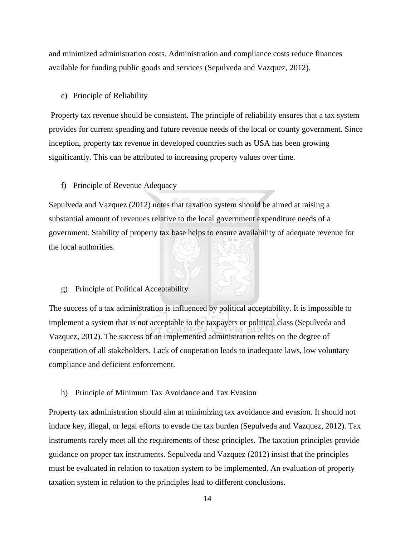and minimized administration costs. Administration and compliance costs reduce finances available for funding public goods and services (Sepulveda and Vazquez, 2012).

#### e) Principle of Reliability

Property tax revenue should be consistent. The principle of reliability ensures that a tax system provides for current spending and future revenue needs of the local or county government. Since inception, property tax revenue in developed countries such as USA has been growing significantly. This can be attributed to increasing property values over time.

f) Principle of Revenue Adequacy

Sepulveda and Vazquez (2012) notes that taxation system should be aimed at raising a substantial amount of revenues relative to the local government expenditure needs of a government. Stability of property tax base helps to ensure availability of adequate revenue for the local authorities.

g) Principle of Political Acceptability

The success of a tax administration is influenced by political acceptability. It is impossible to implement a system that is not acceptable to the taxpayers or political class (Sepulveda and Vazquez, 2012). The success of an implemented administration relies on the degree of cooperation of all stakeholders. Lack of cooperation leads to inadequate laws, low voluntary compliance and deficient enforcement.

h) Principle of Minimum Tax Avoidance and Tax Evasion

Property tax administration should aim at minimizing tax avoidance and evasion. It should not induce key, illegal, or legal efforts to evade the tax burden (Sepulveda and Vazquez, 2012). Tax instruments rarely meet all the requirements of these principles. The taxation principles provide guidance on proper tax instruments. Sepulveda and Vazquez (2012) insist that the principles must be evaluated in relation to taxation system to be implemented. An evaluation of property taxation system in relation to the principles lead to different conclusions.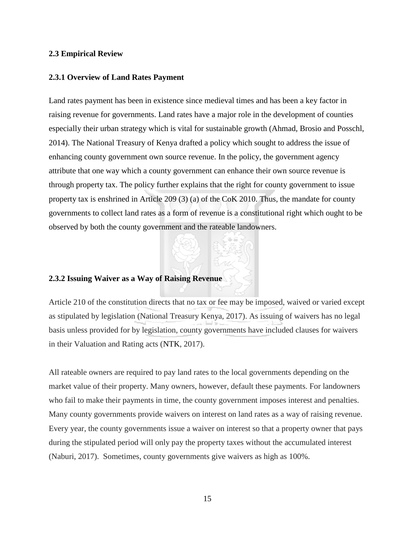#### <span id="page-28-0"></span>**2.3 Empirical Review**

#### <span id="page-28-1"></span>**2.3.1 Overview of Land Rates Payment**

Land rates payment has been in existence since medieval times and has been a key factor in raising revenue for governments. Land rates have a major role in the development of counties especially their urban strategy which is vital for sustainable growth (Ahmad, Brosio and Posschl, 2014). The National Treasury of Kenya drafted a policy which sought to address the issue of enhancing county government own source revenue. In the policy, the government agency attribute that one way which a county government can enhance their own source revenue is through property tax. The policy further explains that the right for county government to issue property tax is enshrined in Article 209 (3) (a) of the CoK 2010. Thus, the mandate for county governments to collect land rates as a form of revenue is a constitutional right which ought to be observed by both the county government and the rateable landowners.

#### <span id="page-28-2"></span>**2.3.2 Issuing Waiver as a Way of Raising Revenue**

Article 210 of the constitution directs that no tax or fee may be imposed, waived or varied except as stipulated by legislation (National Treasury Kenya, 2017). As issuing of waivers has no legal basis unless provided for by legislation, county governments have included clauses for waivers in their Valuation and Rating acts (NTK, 2017).

All rateable owners are required to pay land rates to the local governments depending on the market value of their property. Many owners, however, default these payments. For landowners who fail to make their payments in time, the county government imposes interest and penalties. Many county governments provide waivers on interest on land rates as a way of raising revenue. Every year, the county governments issue a waiver on interest so that a property owner that pays during the stipulated period will only pay the property taxes without the accumulated interest (Naburi, 2017). Sometimes, county governments give waivers as high as 100%.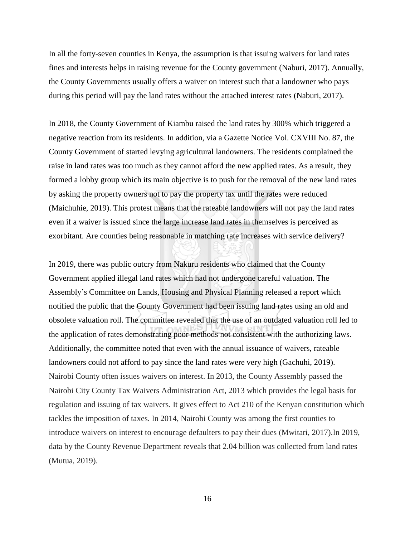In all the forty-seven counties in Kenya, the assumption is that issuing waivers for land rates fines and interests helps in raising revenue for the County government (Naburi, 2017). Annually, the County Governments usually offers a waiver on interest such that a landowner who pays during this period will pay the land rates without the attached interest rates (Naburi, 2017).

In 2018, the County Government of Kiambu raised the land rates by 300% which triggered a negative reaction from its residents. In addition, via a Gazette Notice Vol. CXVIII No. 87, the County Government of started levying agricultural landowners. The residents complained the raise in land rates was too much as they cannot afford the new applied rates. As a result, they formed a lobby group which its main objective is to push for the removal of the new land rates by asking the property owners not to pay the property tax until the rates were reduced (Maichuhie, 2019). This protest means that the rateable landowners will not pay the land rates even if a waiver is issued since the large increase land rates in themselves is perceived as exorbitant. Are counties being reasonable in matching rate increases with service delivery?

In 2019, there was public outcry from Nakuru residents who claimed that the County Government applied illegal land rates which had not undergone careful valuation. The Assembly's Committee on Lands, Housing and Physical Planning released a report which notified the public that the County Government had been issuing land rates using an old and obsolete valuation roll. The committee revealed that the use of an outdated valuation roll led to the application of rates demonstrating poor methods not consistent with the authorizing laws. Additionally, the committee noted that even with the annual issuance of waivers, rateable landowners could not afford to pay since the land rates were very high (Gachuhi, 2019). Nairobi County often issues waivers on interest. In 2013, the County Assembly passed the Nairobi City County Tax Waivers Administration Act, 2013 which provides the legal basis for regulation and issuing of tax waivers. It gives effect to Act 210 of the Kenyan constitution which tackles the imposition of taxes. In 2014, Nairobi County was among the first counties to introduce waivers on interest to encourage defaulters to pay their dues (Mwitari, 2017).In 2019, data by the County Revenue Department reveals that 2.04 billion was collected from land rates (Mutua, 2019).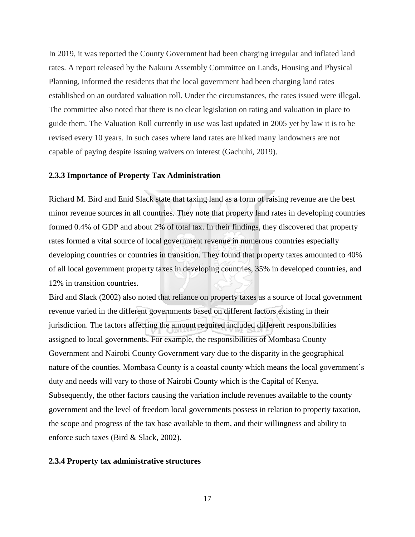In 2019, it was reported the County Government had been charging irregular and inflated land rates. A report released by the Nakuru Assembly Committee on Lands, Housing and Physical Planning, informed the residents that the local government had been charging land rates established on an outdated valuation roll. Under the circumstances, the rates issued were illegal. The committee also noted that there is no clear legislation on rating and valuation in place to guide them. The Valuation Roll currently in use was last updated in 2005 yet by law it is to be revised every 10 years. In such cases where land rates are hiked many landowners are not capable of paying despite issuing waivers on interest (Gachuhi, 2019).

#### <span id="page-30-0"></span>**2.3.3 Importance of Property Tax Administration**

Richard M. Bird and Enid Slack state that taxing land as a form of raising revenue are the best minor revenue sources in all countries. They note that property land rates in developing countries formed 0.4% of GDP and about 2% of total tax. In their findings, they discovered that property rates formed a vital source of local government revenue in numerous countries especially developing countries or countries in transition. They found that property taxes amounted to 40% of all local government property taxes in developing countries, 35% in developed countries, and 12% in transition countries.

Bird and Slack (2002) also noted that reliance on property taxes as a source of local government revenue varied in the different governments based on different factors existing in their jurisdiction. The factors affecting the amount required included different responsibilities assigned to local governments. For example, the responsibilities of Mombasa County Government and Nairobi County Government vary due to the disparity in the geographical nature of the counties. Mombasa County is a coastal county which means the local government's duty and needs will vary to those of Nairobi County which is the Capital of Kenya. Subsequently, the other factors causing the variation include revenues available to the county government and the level of freedom local governments possess in relation to property taxation, the scope and progress of the tax base available to them, and their willingness and ability to enforce such taxes (Bird & Slack, 2002).

#### <span id="page-30-1"></span>**2.3.4 Property tax administrative structures**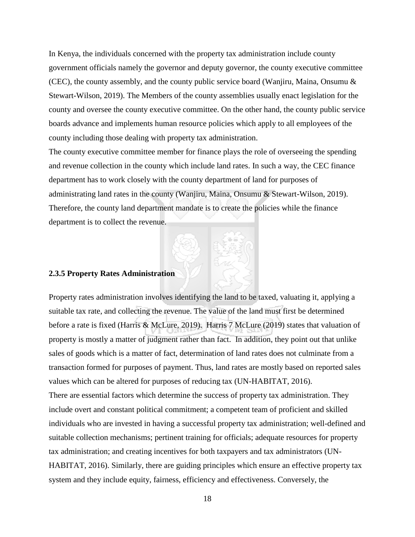In Kenya, the individuals concerned with the property tax administration include county government officials namely the governor and deputy governor, the county executive committee (CEC), the county assembly, and the county public service board (Wanjiru, Maina, Onsumu & Stewart-Wilson, 2019). The Members of the county assemblies usually enact legislation for the county and oversee the county executive committee. On the other hand, the county public service boards advance and implements human resource policies which apply to all employees of the county including those dealing with property tax administration.

The county executive committee member for finance plays the role of overseeing the spending and revenue collection in the county which include land rates. In such a way, the CEC finance department has to work closely with the county department of land for purposes of administrating land rates in the county (Wanjiru, Maina, Onsumu & Stewart-Wilson, 2019). Therefore, the county land department mandate is to create the policies while the finance department is to collect the revenue.

# <span id="page-31-0"></span>**2.3.5 Property Rates Administration**

Property rates administration involves identifying the land to be taxed, valuating it, applying a suitable tax rate, and collecting the revenue. The value of the land must first be determined before a rate is fixed (Harris & McLure, 2019). Harris 7 McLure (2019) states that valuation of property is mostly a matter of judgment rather than fact. In addition, they point out that unlike sales of goods which is a matter of fact, determination of land rates does not culminate from a transaction formed for purposes of payment. Thus, land rates are mostly based on reported sales values which can be altered for purposes of reducing tax (UN-HABITAT, 2016).

There are essential factors which determine the success of property tax administration. They include overt and constant political commitment; a competent team of proficient and skilled individuals who are invested in having a successful property tax administration; well-defined and suitable collection mechanisms; pertinent training for officials; adequate resources for property tax administration; and creating incentives for both taxpayers and tax administrators (UN-HABITAT, 2016). Similarly, there are guiding principles which ensure an effective property tax system and they include equity, fairness, efficiency and effectiveness. Conversely, the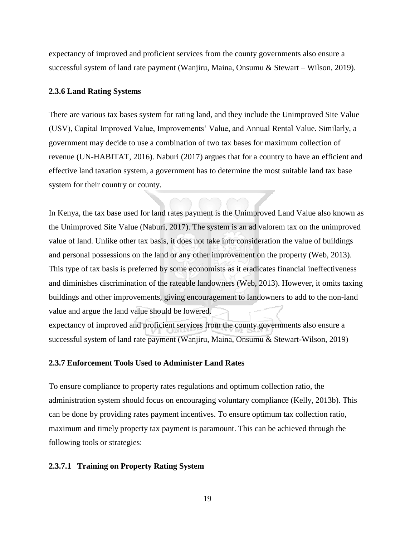expectancy of improved and proficient services from the county governments also ensure a successful system of land rate payment (Wanjiru, Maina, Onsumu & Stewart – Wilson, 2019).

#### <span id="page-32-0"></span>**2.3.6 Land Rating Systems**

There are various tax bases system for rating land, and they include the Unimproved Site Value (USV), Capital Improved Value, Improvements' Value, and Annual Rental Value. Similarly, a government may decide to use a combination of two tax bases for maximum collection of revenue (UN-HABITAT, 2016). Naburi (2017) argues that for a country to have an efficient and effective land taxation system, a government has to determine the most suitable land tax base system for their country or county.

In Kenya, the tax base used for land rates payment is the Unimproved Land Value also known as the Unimproved Site Value (Naburi, 2017). The system is an ad valorem tax on the unimproved value of land. Unlike other tax basis, it does not take into consideration the value of buildings and personal possessions on the land or any other improvement on the property (Web, 2013). This type of tax basis is preferred by some economists as it eradicates financial ineffectiveness and diminishes discrimination of the rateable landowners (Web, 2013). However, it omits taxing buildings and other improvements, giving encouragement to landowners to add to the non-land value and argue the land value should be lowered.

expectancy of improved and proficient services from the county governments also ensure a successful system of land rate payment (Wanjiru, Maina, Onsumu & Stewart-Wilson, 2019)

#### <span id="page-32-1"></span>**2.3.7 Enforcement Tools Used to Administer Land Rates**

To ensure compliance to property rates regulations and optimum collection ratio, the administration system should focus on encouraging voluntary compliance (Kelly, 2013b). This can be done by providing rates payment incentives. To ensure optimum tax collection ratio, maximum and timely property tax payment is paramount. This can be achieved through the following tools or strategies:

#### **2.3.7.1 Training on Property Rating System**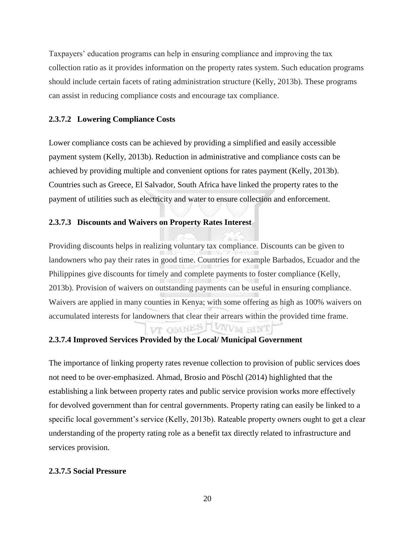Taxpayers' education programs can help in ensuring compliance and improving the tax collection ratio as it provides information on the property rates system. Such education programs should include certain facets of rating administration structure (Kelly, 2013b). These programs can assist in reducing compliance costs and encourage tax compliance.

## **2.3.7.2 Lowering Compliance Costs**

Lower compliance costs can be achieved by providing a simplified and easily accessible payment system (Kelly, 2013b). Reduction in administrative and compliance costs can be achieved by providing multiple and convenient options for rates payment (Kelly, 2013b). Countries such as Greece, El Salvador, South Africa have linked the property rates to the payment of utilities such as electricity and water to ensure collection and enforcement.

## **2.3.7.3 Discounts and Waivers on Property Rates Interest**

Providing discounts helps in realizing voluntary tax compliance. Discounts can be given to landowners who pay their rates in good time. Countries for example Barbados, Ecuador and the Philippines give discounts for timely and complete payments to foster compliance (Kelly, 2013b). Provision of waivers on outstanding payments can be useful in ensuring compliance. Waivers are applied in many counties in Kenya; with some offering as high as 100% waivers on accumulated interests for landowners that clear their arrears within the provided time frame. VT OMNES LUNVM SINT

# **2.3.7.4 Improved Services Provided by the Local/ Municipal Government**

The importance of linking property rates revenue collection to provision of public services does not need to be over-emphasized. Ahmad, Brosio and Pöschl (2014) highlighted that the establishing a link between property rates and public service provision works more effectively for devolved government than for central governments. Property rating can easily be linked to a specific local government's service (Kelly, 2013b). Rateable property owners ought to get a clear understanding of the property rating role as a benefit tax directly related to infrastructure and services provision.

## **2.3.7.5 Social Pressure**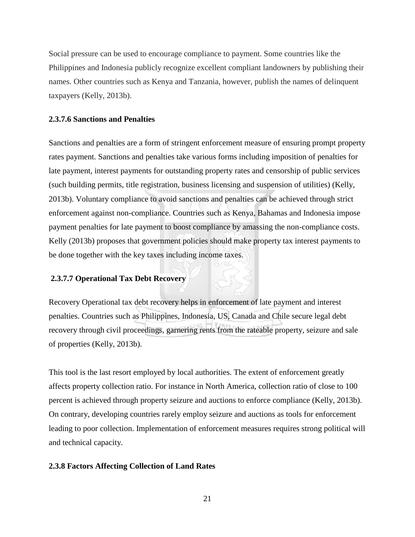Social pressure can be used to encourage compliance to payment. Some countries like the Philippines and Indonesia publicly recognize excellent compliant landowners by publishing their names. Other countries such as Kenya and Tanzania, however, publish the names of delinquent taxpayers (Kelly, 2013b).

#### **2.3.7.6 Sanctions and Penalties**

Sanctions and penalties are a form of stringent enforcement measure of ensuring prompt property rates payment. Sanctions and penalties take various forms including imposition of penalties for late payment, interest payments for outstanding property rates and censorship of public services (such building permits, title registration, business licensing and suspension of utilities) (Kelly, 2013b). Voluntary compliance to avoid sanctions and penalties can be achieved through strict enforcement against non-compliance. Countries such as Kenya, Bahamas and Indonesia impose payment penalties for late payment to boost compliance by amassing the non-compliance costs. Kelly (2013b) proposes that government policies should make property tax interest payments to be done together with the key taxes including income taxes.

#### **2.3.7.7 Operational Tax Debt Recovery**

Recovery Operational tax debt recovery helps in enforcement of late payment and interest penalties. Countries such as Philippines, Indonesia, US, Canada and Chile secure legal debt recovery through civil proceedings, garnering rents from the rateable property, seizure and sale of properties (Kelly, 2013b).

This tool is the last resort employed by local authorities. The extent of enforcement greatly affects property collection ratio. For instance in North America, collection ratio of close to 100 percent is achieved through property seizure and auctions to enforce compliance (Kelly, 2013b). On contrary, developing countries rarely employ seizure and auctions as tools for enforcement leading to poor collection. Implementation of enforcement measures requires strong political will and technical capacity.

#### <span id="page-34-0"></span>**2.3.8 Factors Affecting Collection of Land Rates**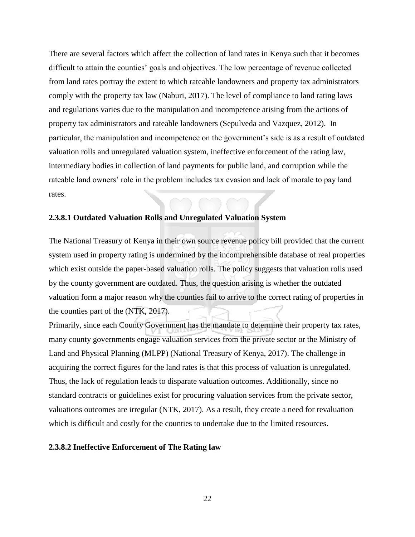There are several factors which affect the collection of land rates in Kenya such that it becomes difficult to attain the counties' goals and objectives. The low percentage of revenue collected from land rates portray the extent to which rateable landowners and property tax administrators comply with the property tax law (Naburi, 2017). The level of compliance to land rating laws and regulations varies due to the manipulation and incompetence arising from the actions of property tax administrators and rateable landowners (Sepulveda and Vazquez, 2012). In particular, the manipulation and incompetence on the government's side is as a result of outdated valuation rolls and unregulated valuation system, ineffective enforcement of the rating law, intermediary bodies in collection of land payments for public land, and corruption while the rateable land owners' role in the problem includes tax evasion and lack of morale to pay land rates.

#### **2.3.8.1 Outdated Valuation Rolls and Unregulated Valuation System**

The National Treasury of Kenya in their own source revenue policy bill provided that the current system used in property rating is undermined by the incomprehensible database of real properties which exist outside the paper-based valuation rolls. The policy suggests that valuation rolls used by the county government are outdated. Thus, the question arising is whether the outdated valuation form a major reason why the counties fail to arrive to the correct rating of properties in the counties part of the (NTK, 2017).

Primarily, since each County Government has the mandate to determine their property tax rates, many county governments engage valuation services from the private sector or the Ministry of Land and Physical Planning (MLPP) (National Treasury of Kenya, 2017). The challenge in acquiring the correct figures for the land rates is that this process of valuation is unregulated. Thus, the lack of regulation leads to disparate valuation outcomes. Additionally, since no standard contracts or guidelines exist for procuring valuation services from the private sector, valuations outcomes are irregular (NTK, 2017). As a result, they create a need for revaluation which is difficult and costly for the counties to undertake due to the limited resources.

#### **2.3.8.2 Ineffective Enforcement of The Rating law**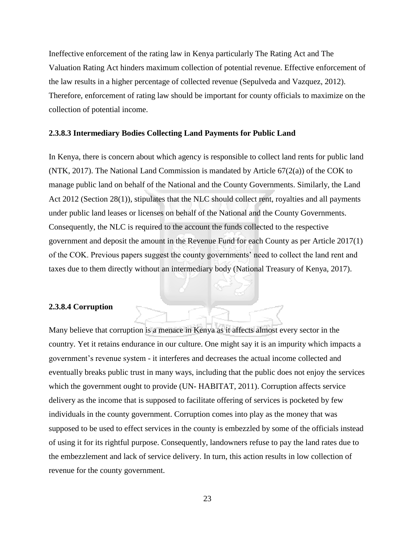Ineffective enforcement of the rating law in Kenya particularly The Rating Act and The Valuation Rating Act hinders maximum collection of potential revenue. Effective enforcement of the law results in a higher percentage of collected revenue (Sepulveda and Vazquez, 2012). Therefore, enforcement of rating law should be important for county officials to maximize on the collection of potential income.

#### **2.3.8.3 Intermediary Bodies Collecting Land Payments for Public Land**

In Kenya, there is concern about which agency is responsible to collect land rents for public land (NTK, 2017). The National Land Commission is mandated by Article 67(2(a)) of the COK to manage public land on behalf of the National and the County Governments. Similarly, the Land Act 2012 (Section 28(1)), stipulates that the NLC should collect rent, royalties and all payments under public land leases or licenses on behalf of the National and the County Governments. Consequently, the NLC is required to the account the funds collected to the respective government and deposit the amount in the Revenue Fund for each County as per Article 2017(1) of the COK. Previous papers suggest the county governments' need to collect the land rent and taxes due to them directly without an intermediary body (National Treasury of Kenya, 2017).

#### **2.3.8.4 Corruption**

Many believe that corruption is a menace in Kenya as it affects almost every sector in the country. Yet it retains endurance in our culture. One might say it is an impurity which impacts a government's revenue system - it interferes and decreases the actual income collected and eventually breaks public trust in many ways, including that the public does not enjoy the services which the government ought to provide (UN- HABITAT, 2011). Corruption affects service delivery as the income that is supposed to facilitate offering of services is pocketed by few individuals in the county government. Corruption comes into play as the money that was supposed to be used to effect services in the county is embezzled by some of the officials instead of using it for its rightful purpose. Consequently, landowners refuse to pay the land rates due to the embezzlement and lack of service delivery. In turn, this action results in low collection of revenue for the county government.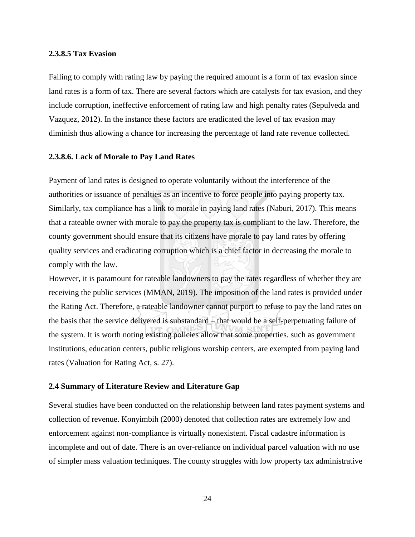#### **2.3.8.5 Tax Evasion**

Failing to comply with rating law by paying the required amount is a form of tax evasion since land rates is a form of tax. There are several factors which are catalysts for tax evasion, and they include corruption, ineffective enforcement of rating law and high penalty rates (Sepulveda and Vazquez, 2012). In the instance these factors are eradicated the level of tax evasion may diminish thus allowing a chance for increasing the percentage of land rate revenue collected.

# **2.3.8.6. Lack of Morale to Pay Land Rates**

Payment of land rates is designed to operate voluntarily without the interference of the authorities or issuance of penalties as an incentive to force people into paying property tax. Similarly, tax compliance has a link to morale in paying land rates (Naburi, 2017). This means that a rateable owner with morale to pay the property tax is compliant to the law. Therefore, the county government should ensure that its citizens have morale to pay land rates by offering quality services and eradicating corruption which is a chief factor in decreasing the morale to comply with the law.

However, it is paramount for rateable landowners to pay the rates regardless of whether they are receiving the public services (MMAN, 2019). The imposition of the land rates is provided under the Rating Act. Therefore, a rateable landowner cannot purport to refuse to pay the land rates on the basis that the service delivered is substandard – that would be a self-perpetuating failure of the system. It is worth noting existing policies allow that some properties. such as government institutions, education centers, public religious worship centers, are exempted from paying land rates (Valuation for Rating Act, s. 27).

#### **2.4 Summary of Literature Review and Literature Gap**

Several studies have been conducted on the relationship between land rates payment systems and collection of revenue. Konyimbih (2000) denoted that collection rates are extremely low and enforcement against non-compliance is virtually nonexistent. Fiscal cadastre information is incomplete and out of date. There is an over-reliance on individual parcel valuation with no use of simpler mass valuation techniques. The county struggles with low property tax administrative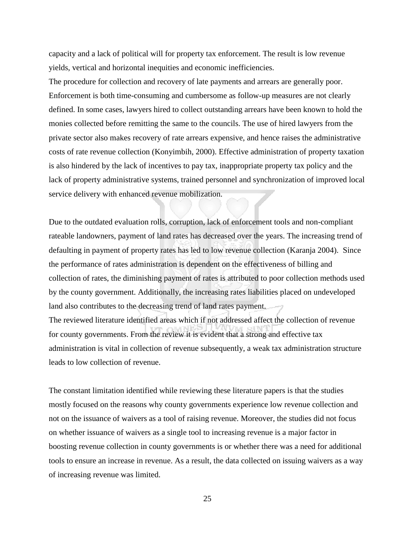capacity and a lack of political will for property tax enforcement. The result is low revenue yields, vertical and horizontal inequities and economic inefficiencies.

The procedure for collection and recovery of late payments and arrears are generally poor. Enforcement is both time-consuming and cumbersome as follow-up measures are not clearly defined. In some cases, lawyers hired to collect outstanding arrears have been known to hold the monies collected before remitting the same to the councils. The use of hired lawyers from the private sector also makes recovery of rate arrears expensive, and hence raises the administrative costs of rate revenue collection (Konyimbih, 2000). Effective administration of property taxation is also hindered by the lack of incentives to pay tax, inappropriate property tax policy and the lack of property administrative systems, trained personnel and synchronization of improved local service delivery with enhanced revenue mobilization.

Due to the outdated evaluation rolls, corruption, lack of enforcement tools and non-compliant rateable landowners, payment of land rates has decreased over the years. The increasing trend of defaulting in payment of property rates has led to low revenue collection (Karanja 2004). Since the performance of rates administration is dependent on the effectiveness of billing and collection of rates, the diminishing payment of rates is attributed to poor collection methods used by the county government. Additionally, the increasing rates liabilities placed on undeveloped land also contributes to the decreasing trend of land rates payment. The reviewed literature identified areas which if not addressed affect the collection of revenue for county governments. From the review it is evident that a strong and effective tax administration is vital in collection of revenue subsequently, a weak tax administration structure leads to low collection of revenue.

The constant limitation identified while reviewing these literature papers is that the studies mostly focused on the reasons why county governments experience low revenue collection and not on the issuance of waivers as a tool of raising revenue. Moreover, the studies did not focus on whether issuance of waivers as a single tool to increasing revenue is a major factor in boosting revenue collection in county governments is or whether there was a need for additional tools to ensure an increase in revenue. As a result, the data collected on issuing waivers as a way of increasing revenue was limited.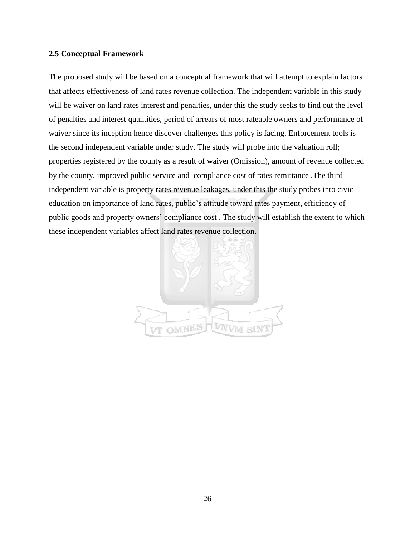## **2.5 Conceptual Framework**

The proposed study will be based on a conceptual framework that will attempt to explain factors that affects effectiveness of land rates revenue collection. The independent variable in this study will be waiver on land rates interest and penalties, under this the study seeks to find out the level of penalties and interest quantities, period of arrears of most rateable owners and performance of waiver since its inception hence discover challenges this policy is facing. Enforcement tools is the second independent variable under study. The study will probe into the valuation roll; properties registered by the county as a result of waiver (Omission), amount of revenue collected by the county, improved public service and compliance cost of rates remittance .The third independent variable is property rates revenue leakages, under this the study probes into civic education on importance of land rates, public's attitude toward rates payment, efficiency of public goods and property owners' compliance cost . The study will establish the extent to which these independent variables affect land rates revenue collection.

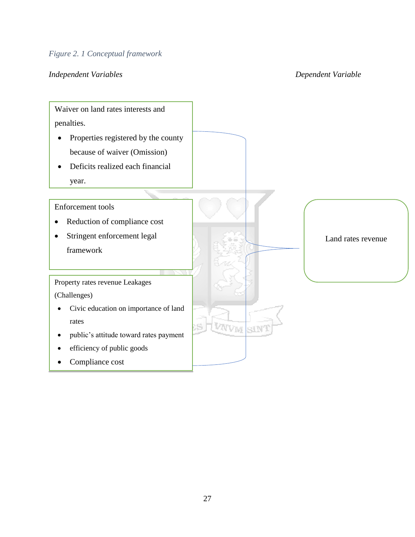# *Figure 2. 1 Conceptual framework*

# *Independent Variables Dependent Variable*

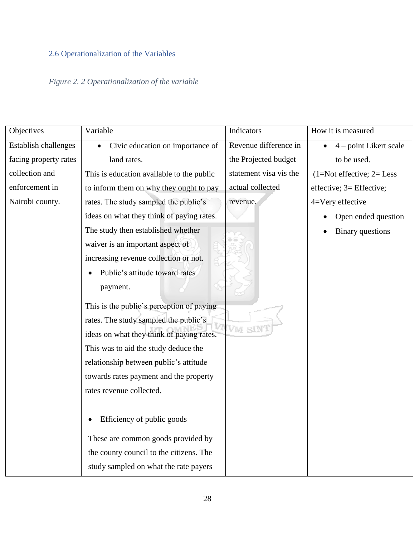# 2.6 Operationalization of the Variables

# *Figure 2. 2 Operationalization of the variable*

| Objectives                  | Variable                                  | Indicators             | How it is measured         |
|-----------------------------|-------------------------------------------|------------------------|----------------------------|
| <b>Establish challenges</b> | Civic education on importance of          | Revenue difference in  | $4$ – point Likert scale   |
| facing property rates       | land rates.                               | the Projected budget   | to be used.                |
| collection and              | This is education available to the public | statement visa vis the | $(1=Not effective; 2=Less$ |
| enforcement in              | to inform them on why they ought to pay   | actual collected       | effective; 3= Effective;   |
| Nairobi county.             | rates. The study sampled the public's     | revenue.               | 4=Very effective           |
|                             | ideas on what they think of paying rates. |                        | Open ended question        |
|                             | The study then established whether        |                        | <b>Binary</b> questions    |
|                             | waiver is an important aspect of          |                        |                            |
|                             | increasing revenue collection or not.     |                        |                            |
|                             | Public's attitude toward rates            |                        |                            |
|                             | payment.                                  |                        |                            |
|                             | This is the public's perception of paying |                        |                            |
|                             | rates. The study sampled the public's     |                        |                            |
|                             | ideas on what they think of paying rates. | SIN<br>Vм              |                            |
|                             | This was to aid the study deduce the      |                        |                            |
|                             | relationship between public's attitude    |                        |                            |
|                             | towards rates payment and the property    |                        |                            |
|                             | rates revenue collected.                  |                        |                            |
|                             |                                           |                        |                            |
|                             | Efficiency of public goods                |                        |                            |
|                             | These are common goods provided by        |                        |                            |
|                             | the county council to the citizens. The   |                        |                            |
|                             | study sampled on what the rate payers     |                        |                            |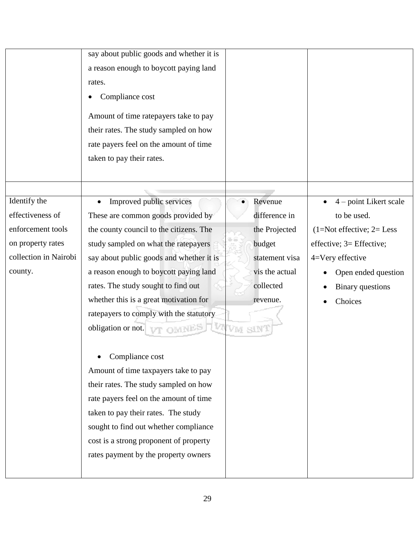|                                                                                                                | say about public goods and whether it is<br>a reason enough to boycott paying land<br>rates.<br>Compliance cost<br>Amount of time ratepayers take to pay<br>their rates. The study sampled on how<br>rate payers feel on the amount of time<br>taken to pay their rates.                                                                                                                                                                                                                                                                                                                                                                                                                                  |                                                                                                                        |                                                                                                                                                                                   |
|----------------------------------------------------------------------------------------------------------------|-----------------------------------------------------------------------------------------------------------------------------------------------------------------------------------------------------------------------------------------------------------------------------------------------------------------------------------------------------------------------------------------------------------------------------------------------------------------------------------------------------------------------------------------------------------------------------------------------------------------------------------------------------------------------------------------------------------|------------------------------------------------------------------------------------------------------------------------|-----------------------------------------------------------------------------------------------------------------------------------------------------------------------------------|
|                                                                                                                |                                                                                                                                                                                                                                                                                                                                                                                                                                                                                                                                                                                                                                                                                                           |                                                                                                                        |                                                                                                                                                                                   |
| Identify the<br>effectiveness of<br>enforcement tools<br>on property rates<br>collection in Nairobi<br>county. | Improved public services<br>These are common goods provided by<br>the county council to the citizens. The<br>study sampled on what the ratepayers<br>say about public goods and whether it is<br>a reason enough to boycott paying land<br>rates. The study sought to find out<br>whether this is a great motivation for<br>ratepayers to comply with the statutory<br>obligation or not.<br>Compliance cost<br>Amount of time taxpayers take to pay<br>their rates. The study sampled on how<br>rate payers feel on the amount of time<br>taken to pay their rates. The study<br>sought to find out whether compliance<br>cost is a strong proponent of property<br>rates payment by the property owners | Revenue<br>difference in<br>the Projected<br>budget<br>statement visa<br>vis the actual<br>collected<br>revenue.<br>VM | 4 - point Likert scale<br>to be used.<br>$(1=Not effective; 2=Less)$<br>effective; 3= Effective;<br>4=Very effective<br>Open ended question<br><b>Binary</b> questions<br>Choices |
|                                                                                                                |                                                                                                                                                                                                                                                                                                                                                                                                                                                                                                                                                                                                                                                                                                           |                                                                                                                        |                                                                                                                                                                                   |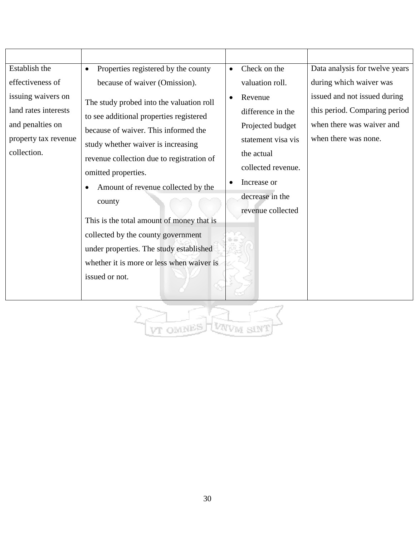| Establish the                                                                                         | Properties registered by the county                                                                                                                                                                                                                                                                                                                                                                                                                              | Check on the<br>$\bullet$                                                                                                                                         | Data analysis for twelve years                                                                                     |
|-------------------------------------------------------------------------------------------------------|------------------------------------------------------------------------------------------------------------------------------------------------------------------------------------------------------------------------------------------------------------------------------------------------------------------------------------------------------------------------------------------------------------------------------------------------------------------|-------------------------------------------------------------------------------------------------------------------------------------------------------------------|--------------------------------------------------------------------------------------------------------------------|
| effectiveness of                                                                                      | because of waiver (Omission).                                                                                                                                                                                                                                                                                                                                                                                                                                    | valuation roll.                                                                                                                                                   | during which waiver was                                                                                            |
| issuing waivers on<br>land rates interests<br>and penalties on<br>property tax revenue<br>collection. | The study probed into the valuation roll<br>to see additional properties registered<br>because of waiver. This informed the<br>study whether waiver is increasing<br>revenue collection due to registration of<br>omitted properties.<br>Amount of revenue collected by the<br>county<br>This is the total amount of money that is<br>collected by the county government<br>under properties. The study established<br>whether it is more or less when waiver is | Revenue<br>difference in the<br>Projected budget<br>statement visa vis<br>the actual<br>collected revenue.<br>Increase or<br>decrease in the<br>revenue collected | issued and not issued during<br>this period. Comparing period<br>when there was waiver and<br>when there was none. |
|                                                                                                       | issued or not.                                                                                                                                                                                                                                                                                                                                                                                                                                                   |                                                                                                                                                                   |                                                                                                                    |

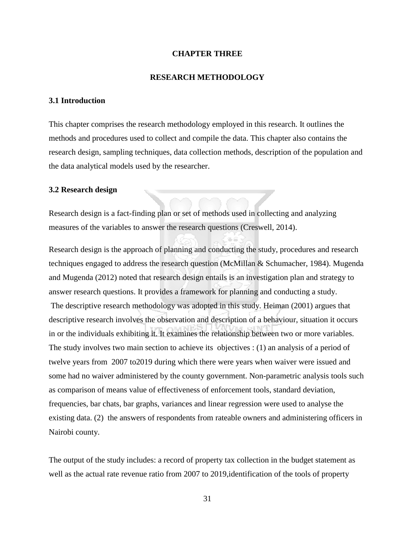#### **CHAPTER THREE**

#### **RESEARCH METHODOLOGY**

# **3.1 Introduction**

This chapter comprises the research methodology employed in this research. It outlines the methods and procedures used to collect and compile the data. This chapter also contains the research design, sampling techniques, data collection methods, description of the population and the data analytical models used by the researcher.

## **3.2 Research design**

Research design is a fact-finding plan or set of methods used in collecting and analyzing measures of the variables to answer the research questions (Creswell, 2014).

Research design is the approach of planning and conducting the study, procedures and research techniques engaged to address the research question (McMillan & Schumacher, 1984). Mugenda and Mugenda (2012) noted that research design entails is an investigation plan and strategy to answer research questions. It provides a framework for planning and conducting a study.

The descriptive research methodology was adopted in this study. Heiman (2001) argues that descriptive research involves the observation and description of a behaviour, situation it occurs in or the individuals exhibiting it. It examines the relationship between two or more variables. The study involves two main section to achieve its objectives : (1) an analysis of a period of twelve years from 2007 to2019 during which there were years when waiver were issued and some had no waiver administered by the county government. Non-parametric analysis tools such as comparison of means value of effectiveness of enforcement tools, standard deviation, frequencies, bar chats, bar graphs, variances and linear regression were used to analyse the existing data. (2) the answers of respondents from rateable owners and administering officers in Nairobi county.

The output of the study includes: a record of property tax collection in the budget statement as well as the actual rate revenue ratio from 2007 to 2019,identification of the tools of property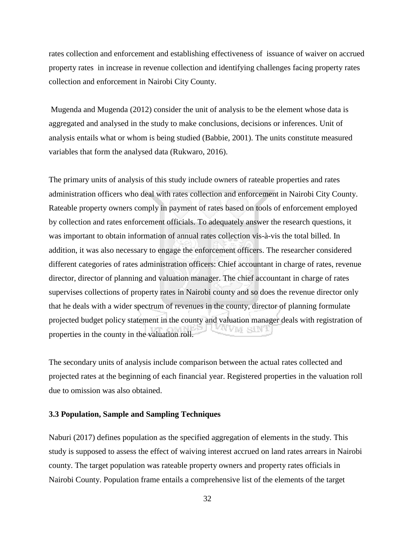rates collection and enforcement and establishing effectiveness of issuance of waiver on accrued property rates in increase in revenue collection and identifying challenges facing property rates collection and enforcement in Nairobi City County.

Mugenda and Mugenda (2012) consider the unit of analysis to be the element whose data is aggregated and analysed in the study to make conclusions, decisions or inferences. Unit of analysis entails what or whom is being studied (Babbie, 2001). The units constitute measured variables that form the analysed data (Rukwaro, 2016).

The primary units of analysis of this study include owners of rateable properties and rates administration officers who deal with rates collection and enforcement in Nairobi City County. Rateable property owners comply in payment of rates based on tools of enforcement employed by collection and rates enforcement officials. To adequately answer the research questions, it was important to obtain information of annual rates collection vis-à-vis the total billed. In addition, it was also necessary to engage the enforcement officers. The researcher considered different categories of rates administration officers: Chief accountant in charge of rates, revenue director, director of planning and valuation manager. The chief accountant in charge of rates supervises collections of property rates in Nairobi county and so does the revenue director only that he deals with a wider spectrum of revenues in the county, director of planning formulate projected budget policy statement in the county and valuation manager deals with registration of properties in the county in the valuation roll.

The secondary units of analysis include comparison between the actual rates collected and projected rates at the beginning of each financial year. Registered properties in the valuation roll due to omission was also obtained.

#### **3.3 Population, Sample and Sampling Techniques**

Naburi (2017) defines population as the specified aggregation of elements in the study. This study is supposed to assess the effect of waiving interest accrued on land rates arrears in Nairobi county. The target population was rateable property owners and property rates officials in Nairobi County. Population frame entails a comprehensive list of the elements of the target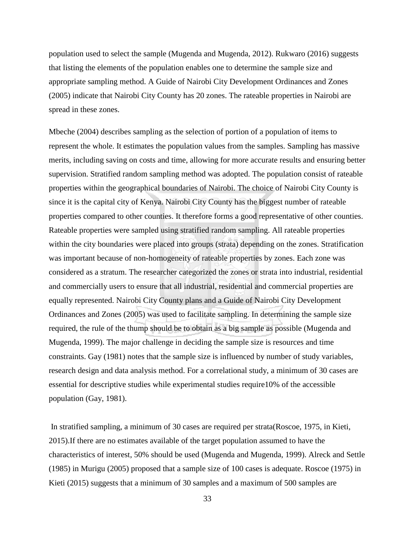population used to select the sample (Mugenda and Mugenda, 2012). Rukwaro (2016) suggests that listing the elements of the population enables one to determine the sample size and appropriate sampling method. A Guide of Nairobi City Development Ordinances and Zones (2005) indicate that Nairobi City County has 20 zones. The rateable properties in Nairobi are spread in these zones.

Mbeche (2004) describes sampling as the selection of portion of a population of items to represent the whole. It estimates the population values from the samples. Sampling has massive merits, including saving on costs and time, allowing for more accurate results and ensuring better supervision. Stratified random sampling method was adopted. The population consist of rateable properties within the geographical boundaries of Nairobi. The choice of Nairobi City County is since it is the capital city of Kenya. Nairobi City County has the biggest number of rateable properties compared to other counties. It therefore forms a good representative of other counties. Rateable properties were sampled using stratified random sampling. All rateable properties within the city boundaries were placed into groups (strata) depending on the zones. Stratification was important because of non-homogeneity of rateable properties by zones. Each zone was considered as a stratum. The researcher categorized the zones or strata into industrial, residential and commercially users to ensure that all industrial, residential and commercial properties are equally represented. Nairobi City County plans and a Guide of Nairobi City Development Ordinances and Zones (2005) was used to facilitate sampling. In determining the sample size required, the rule of the thump should be to obtain as a big sample as possible (Mugenda and Mugenda, 1999). The major challenge in deciding the sample size is resources and time constraints. Gay (1981) notes that the sample size is influenced by number of study variables, research design and data analysis method. For a correlational study, a minimum of 30 cases are essential for descriptive studies while experimental studies require10% of the accessible population (Gay, 1981).

 In stratified sampling, a minimum of 30 cases are required per strata(Roscoe, 1975, in Kieti, 2015).If there are no estimates available of the target population assumed to have the characteristics of interest, 50% should be used (Mugenda and Mugenda, 1999). Alreck and Settle (1985) in Murigu (2005) proposed that a sample size of 100 cases is adequate. Roscoe (1975) in Kieti (2015) suggests that a minimum of 30 samples and a maximum of 500 samples are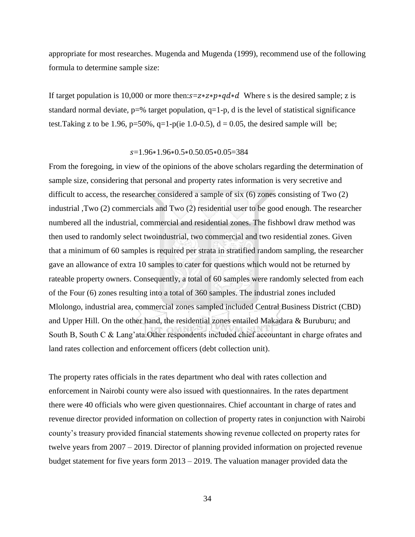appropriate for most researches. Mugenda and Mugenda (1999), recommend use of the following formula to determine sample size:

If target population is 10,000 or more then: $s = z * z * p * q d * d$  Where s is the desired sample; z is standard normal deviate,  $p=$ % target population,  $q=1-p$ , d is the level of statistical significance test. Taking z to be 1.96, p=50%, q=1-p(ie 1.0-0.5),  $d = 0.05$ , the desired sample will be;

#### =1.96∗1.96∗0.5∗0.50.05∗0.05=384

From the foregoing, in view of the opinions of the above scholars regarding the determination of sample size, considering that personal and property rates information is very secretive and difficult to access, the researcher considered a sample of six (6) zones consisting of Two (2) industrial ,Two (2) commercials and Two (2) residential user to be good enough. The researcher numbered all the industrial, commercial and residential zones. The fishbowl draw method was then used to randomly select twoindustrial, two commercial and two residential zones. Given that a minimum of 60 samples is required per strata in stratified random sampling, the researcher gave an allowance of extra 10 samples to cater for questions which would not be returned by rateable property owners. Consequently, a total of 60 samples were randomly selected from each of the Four (6) zones resulting into a total of 360 samples. The industrial zones included Mlolongo, industrial area, commercial zones sampled included Central Business District (CBD) and Upper Hill. On the other hand, the residential zones entailed Makadara & Buruburu; and South B, South C & Lang'ata.Other respondents included chief accountant in charge ofrates and land rates collection and enforcement officers (debt collection unit).

The property rates officials in the rates department who deal with rates collection and enforcement in Nairobi county were also issued with questionnaires. In the rates department there were 40 officials who were given questionnaires. Chief accountant in charge of rates and revenue director provided information on collection of property rates in conjunction with Nairobi county's treasury provided financial statements showing revenue collected on property rates for twelve years from 2007 – 2019. Director of planning provided information on projected revenue budget statement for five years form 2013 – 2019. The valuation manager provided data the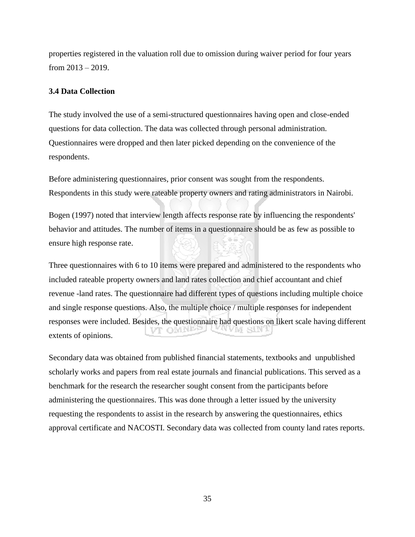properties registered in the valuation roll due to omission during waiver period for four years from 2013 – 2019.

# **3.4 Data Collection**

The study involved the use of a semi-structured questionnaires having open and close-ended questions for data collection. The data was collected through personal administration. Questionnaires were dropped and then later picked depending on the convenience of the respondents.

Before administering questionnaires, prior consent was sought from the respondents. Respondents in this study were rateable property owners and rating administrators in Nairobi.

Bogen (1997) noted that interview length affects response rate by influencing the respondents' behavior and attitudes. The number of items in a questionnaire should be as few as possible to ensure high response rate.

Three questionnaires with 6 to 10 items were prepared and administered to the respondents who included rateable property owners and land rates collection and chief accountant and chief revenue -land rates. The questionnaire had different types of questions including multiple choice and single response questions. Also, the multiple choice / multiple responses for independent responses were included. Besides, the questionnaire had questions on likert scale having different extents of opinions.

Secondary data was obtained from published financial statements, textbooks and unpublished scholarly works and papers from real estate journals and financial publications. This served as a benchmark for the research the researcher sought consent from the participants before administering the questionnaires. This was done through a letter issued by the university requesting the respondents to assist in the research by answering the questionnaires, ethics approval certificate and NACOSTI. Secondary data was collected from county land rates reports.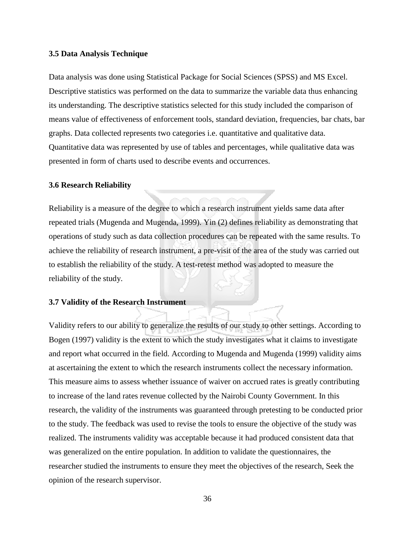#### **3.5 Data Analysis Technique**

Data analysis was done using Statistical Package for Social Sciences (SPSS) and MS Excel. Descriptive statistics was performed on the data to summarize the variable data thus enhancing its understanding. The descriptive statistics selected for this study included the comparison of means value of effectiveness of enforcement tools, standard deviation, frequencies, bar chats, bar graphs. Data collected represents two categories i.e. quantitative and qualitative data. Quantitative data was represented by use of tables and percentages, while qualitative data was presented in form of charts used to describe events and occurrences.

#### **3.6 Research Reliability**

Reliability is a measure of the degree to which a research instrument yields same data after repeated trials (Mugenda and Mugenda, 1999). Yin (2) defines reliability as demonstrating that operations of study such as data collection procedures can be repeated with the same results. To achieve the reliability of research instrument, a pre-visit of the area of the study was carried out to establish the reliability of the study. A test-retest method was adopted to measure the reliability of the study.

# **3.7 Validity of the Research Instrument**

Validity refers to our ability to generalize the results of our study to other settings. According to Bogen (1997) validity is the extent to which the study investigates what it claims to investigate and report what occurred in the field. According to Mugenda and Mugenda (1999) validity aims at ascertaining the extent to which the research instruments collect the necessary information. This measure aims to assess whether issuance of waiver on accrued rates is greatly contributing to increase of the land rates revenue collected by the Nairobi County Government. In this research, the validity of the instruments was guaranteed through pretesting to be conducted prior to the study. The feedback was used to revise the tools to ensure the objective of the study was realized. The instruments validity was acceptable because it had produced consistent data that was generalized on the entire population. In addition to validate the questionnaires, the researcher studied the instruments to ensure they meet the objectives of the research, Seek the opinion of the research supervisor.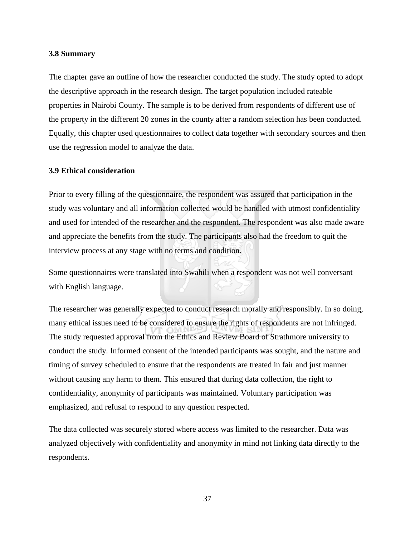## **3.8 Summary**

The chapter gave an outline of how the researcher conducted the study. The study opted to adopt the descriptive approach in the research design. The target population included rateable properties in Nairobi County. The sample is to be derived from respondents of different use of the property in the different 20 zones in the county after a random selection has been conducted. Equally, this chapter used questionnaires to collect data together with secondary sources and then use the regression model to analyze the data.

#### **3.9 Ethical consideration**

Prior to every filling of the questionnaire, the respondent was assured that participation in the study was voluntary and all information collected would be handled with utmost confidentiality and used for intended of the researcher and the respondent. The respondent was also made aware and appreciate the benefits from the study. The participants also had the freedom to quit the interview process at any stage with no terms and condition.

Some questionnaires were translated into Swahili when a respondent was not well conversant with English language.

The researcher was generally expected to conduct research morally and responsibly. In so doing, many ethical issues need to be considered to ensure the rights of respondents are not infringed. The study requested approval from the Ethics and Review Board of Strathmore university to conduct the study. Informed consent of the intended participants was sought, and the nature and timing of survey scheduled to ensure that the respondents are treated in fair and just manner without causing any harm to them. This ensured that during data collection, the right to confidentiality, anonymity of participants was maintained. Voluntary participation was emphasized, and refusal to respond to any question respected.

The data collected was securely stored where access was limited to the researcher. Data was analyzed objectively with confidentiality and anonymity in mind not linking data directly to the respondents.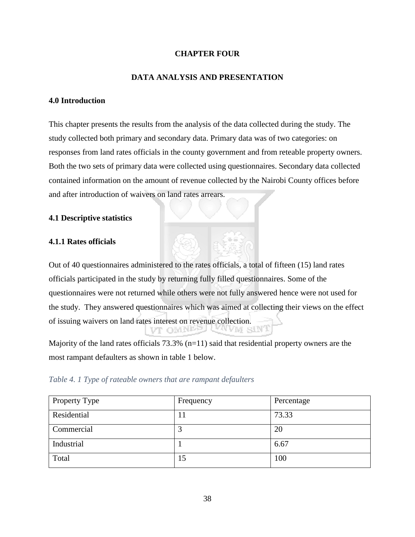# **CHAPTER FOUR**

# **DATA ANALYSIS AND PRESENTATION**

# **4.0 Introduction**

This chapter presents the results from the analysis of the data collected during the study. The study collected both primary and secondary data. Primary data was of two categories: on responses from land rates officials in the county government and from reteable property owners. Both the two sets of primary data were collected using questionnaires. Secondary data collected contained information on the amount of revenue collected by the Nairobi County offices before and after introduction of waivers on land rates arrears.

# **4.1 Descriptive statistics**

# **4.1.1 Rates officials**

Out of 40 questionnaires administered to the rates officials, a total of fifteen (15) land rates officials participated in the study by returning fully filled questionnaires. Some of the questionnaires were not returned while others were not fully answered hence were not used for the study. They answered questionnaires which was aimed at collecting their views on the effect of issuing waivers on land rates interest on revenue collection. vt omne iVM sIN

Majority of the land rates officials  $73.3\%$  (n=11) said that residential property owners are the most rampant defaulters as shown in table 1 below.

| Table 4. 1 Type of rateable owners that are rampant defaulters |  |
|----------------------------------------------------------------|--|
|----------------------------------------------------------------|--|

| Property Type | Frequency | Percentage |
|---------------|-----------|------------|
| Residential   | 1 I       | 73.33      |
| Commercial    | 3         | 20         |
| Industrial    |           | 6.67       |
| Total         | 15        | 100        |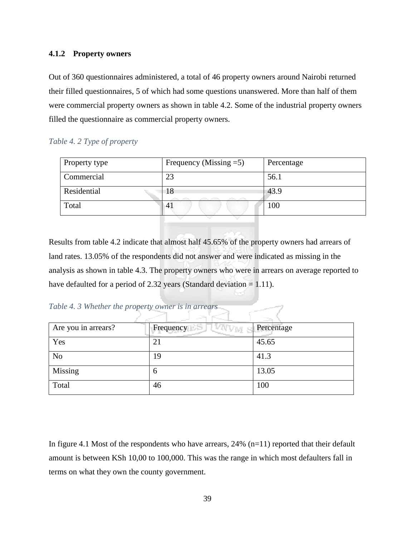# **4.1.2 Property owners**

Out of 360 questionnaires administered, a total of 46 property owners around Nairobi returned their filled questionnaires, 5 of which had some questions unanswered. More than half of them were commercial property owners as shown in table 4.2. Some of the industrial property owners filled the questionnaire as commercial property owners.

# *Table 4. 2 Type of property*

| Property type | Frequency (Missing $=5$ ) | Percentage |
|---------------|---------------------------|------------|
| Commercial    | 23                        | 56.1       |
| Residential   | 18                        | 43.9       |
| Total         | $\mathbf{A}_{\mathbf{1}}$ | 100        |
|               |                           |            |

Results from table 4.2 indicate that almost half 45.65% of the property owners had arrears of land rates. 13.05% of the respondents did not answer and were indicated as missing in the analysis as shown in table 4.3. The property owners who were in arrears on average reported to have defaulted for a period of 2.32 years (Standard deviation  $= 1.11$ ).

*Table 4. 3 Whether the property owner is in arrears* 

| Are you in arrears? | Frequency<br>AVM. | Percentage |
|---------------------|-------------------|------------|
| Yes                 | 21                | 45.65      |
| N <sub>o</sub>      | 19                | 41.3       |
| Missing             | b                 | 13.05      |
| Total               | 46                | 100        |

In figure 4.1 Most of the respondents who have arrears,  $24\%$  (n=11) reported that their default amount is between KSh 10,00 to 100,000. This was the range in which most defaulters fall in terms on what they own the county government.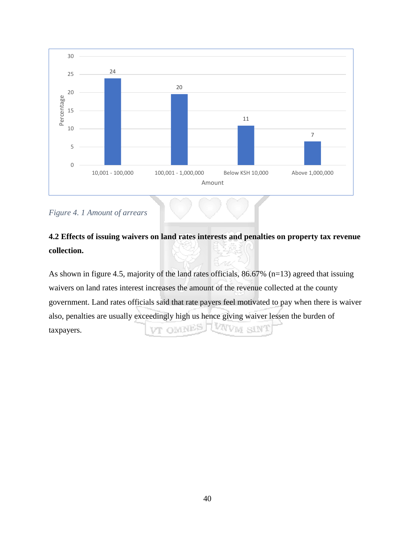

*Figure 4. 1 Amount of arrears* 

# **4.2 Effects of issuing waivers on land rates interests and penalties on property tax revenue collection.**

As shown in figure 4.5, majority of the land rates officials, 86.67% (n=13) agreed that issuing waivers on land rates interest increases the amount of the revenue collected at the county government. Land rates officials said that rate payers feel motivated to pay when there is waiver also, penalties are usually exceedingly high us hence giving waiver lessen the burden of VT OMNES LUNVM SINT taxpayers.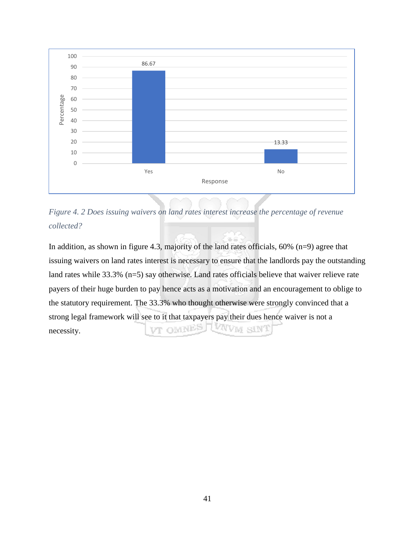



In addition, as shown in figure 4.3, majority of the land rates officials,  $60\%$  (n=9) agree that issuing waivers on land rates interest is necessary to ensure that the landlords pay the outstanding land rates while 33.3% (n=5) say otherwise. Land rates officials believe that waiver relieve rate payers of their huge burden to pay hence acts as a motivation and an encouragement to oblige to the statutory requirement. The 33.3% who thought otherwise were strongly convinced that a strong legal framework will see to it that taxpayers pay their dues hence waiver is not a VT OMNES TWWW SINT necessity.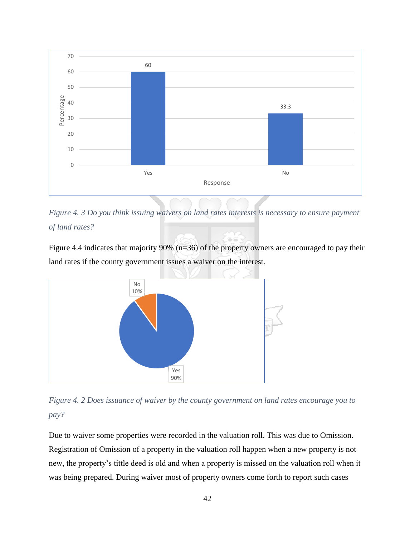

*Figure 4. 3 Do you think issuing waivers on land rates interests is necessary to ensure payment of land rates?* 

Figure 4.4 indicates that majority 90% (n=36) of the property owners are encouraged to pay their land rates if the county government issues a waiver on the interest.



*Figure 4. 2 Does issuance of waiver by the county government on land rates encourage you to pay?*

Due to waiver some properties were recorded in the valuation roll. This was due to Omission. Registration of Omission of a property in the valuation roll happen when a new property is not new, the property's tittle deed is old and when a property is missed on the valuation roll when it was being prepared. During waiver most of property owners come forth to report such cases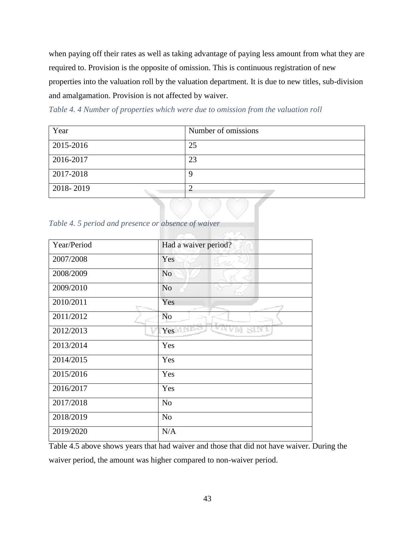when paying off their rates as well as taking advantage of paying less amount from what they are required to. Provision is the opposite of omission. This is continuous registration of new properties into the valuation roll by the valuation department. It is due to new titles, sub-division and amalgamation. Provision is not affected by waiver.

*Table 4. 4 Number of properties which were due to omission from the valuation roll* 

| Year      | Number of omissions |
|-----------|---------------------|
| 2015-2016 | 25                  |
| 2016-2017 | 23                  |
| 2017-2018 |                     |
| 2018-2019 |                     |

*Table 4. 5 period and presence or absence of waiver* 

| Year/Period | Had a waiver period? |
|-------------|----------------------|
| 2007/2008   | Yes<br>5. v.k        |
| 2008/2009   | N <sub>o</sub>       |
| 2009/2010   | N <sub>o</sub>       |
| 2010/2011   | Yes                  |
| 2011/2012   | N <sub>o</sub>       |
| 2012/2013   | Yes                  |
| 2013/2014   | Yes                  |
| 2014/2015   | Yes                  |
| 2015/2016   | Yes                  |
| 2016/2017   | Yes                  |
| 2017/2018   | N <sub>o</sub>       |
| 2018/2019   | N <sub>o</sub>       |
| 2019/2020   | N/A                  |

Table 4.5 above shows years that had waiver and those that did not have waiver. During the waiver period, the amount was higher compared to non-waiver period.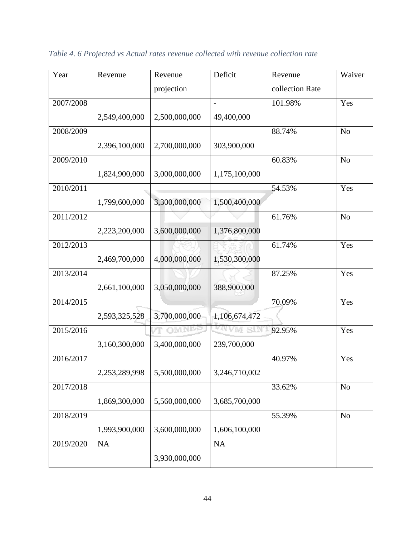| Year      | Revenue       | Revenue       | Deficit                  | Revenue         | Waiver         |
|-----------|---------------|---------------|--------------------------|-----------------|----------------|
|           |               | projection    |                          | collection Rate |                |
| 2007/2008 |               |               | $\overline{\phantom{0}}$ | 101.98%         | Yes            |
|           | 2,549,400,000 | 2,500,000,000 | 49,400,000               |                 |                |
| 2008/2009 |               |               |                          | 88.74%          | N <sub>o</sub> |
|           | 2,396,100,000 | 2,700,000,000 | 303,900,000              |                 |                |
| 2009/2010 |               |               |                          | 60.83%          | N <sub>o</sub> |
|           | 1,824,900,000 | 3,000,000,000 | 1,175,100,000            |                 |                |
| 2010/2011 |               |               |                          | 54.53%          | Yes            |
|           | 1,799,600,000 | 3,300,000,000 | 1,500,400,000            |                 |                |
| 2011/2012 |               |               |                          | 61.76%          | N <sub>o</sub> |
|           | 2,223,200,000 | 3,600,000,000 | 1,376,800,000            |                 |                |
| 2012/2013 |               |               |                          | 61.74%          | Yes            |
|           | 2,469,700,000 | 4,000,000,000 | 1,530,300,000            |                 |                |
| 2013/2014 |               |               |                          | 87.25%          | Yes            |
|           | 2,661,100,000 | 3,050,000,000 | 388,900,000              |                 |                |
| 2014/2015 |               |               |                          | 70.09%          | Yes            |
|           | 2,593,325,528 | 3,700,000,000 | 1,106,674,472            |                 |                |
| 2015/2016 |               | <b>OMNEE</b>  | <b>WWW SIN</b>           | 92.95%          | Yes            |
|           | 3,160,300,000 | 3,400,000,000 | 239,700,000              |                 |                |
| 2016/2017 |               |               |                          | 40.97%          | Yes            |
|           | 2,253,289,998 | 5,500,000,000 | 3,246,710,002            |                 |                |
| 2017/2018 |               |               |                          | 33.62%          | N <sub>o</sub> |
|           | 1,869,300,000 | 5,560,000,000 | 3,685,700,000            |                 |                |
| 2018/2019 |               |               |                          | 55.39%          | N <sub>o</sub> |
|           | 1,993,900,000 | 3,600,000,000 | 1,606,100,000            |                 |                |
| 2019/2020 | NA            |               | NA                       |                 |                |
|           |               | 3,930,000,000 |                          |                 |                |

*Table 4. 6 Projected vs Actual rates revenue collected with revenue collection rate*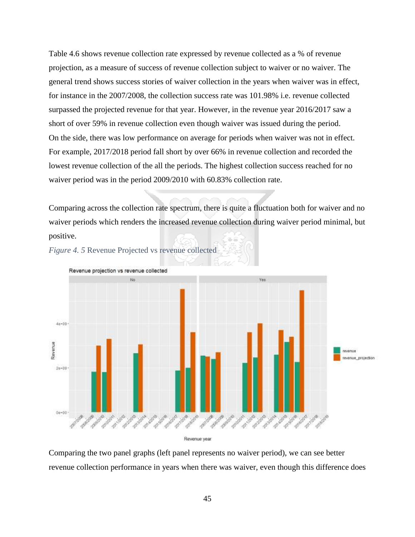Table 4.6 shows revenue collection rate expressed by revenue collected as a % of revenue projection, as a measure of success of revenue collection subject to waiver or no waiver. The general trend shows success stories of waiver collection in the years when waiver was in effect, for instance in the 2007/2008, the collection success rate was 101.98% i.e. revenue collected surpassed the projected revenue for that year. However, in the revenue year 2016/2017 saw a short of over 59% in revenue collection even though waiver was issued during the period. On the side, there was low performance on average for periods when waiver was not in effect. For example, 2017/2018 period fall short by over 66% in revenue collection and recorded the lowest revenue collection of the all the periods. The highest collection success reached for no waiver period was in the period 2009/2010 with 60.83% collection rate.

Comparing across the collection rate spectrum, there is quite a fluctuation both for waiver and no waiver periods which renders the increased revenue collection during waiver period minimal, but positive.





Revenue year

Comparing the two panel graphs (left panel represents no waiver period), we can see better revenue collection performance in years when there was waiver, even though this difference does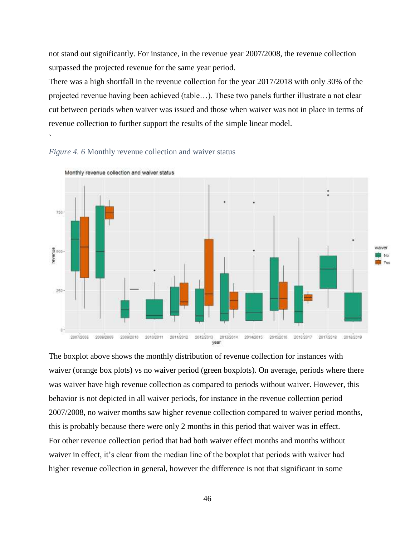not stand out significantly. For instance, in the revenue year 2007/2008, the revenue collection surpassed the projected revenue for the same year period.

There was a high shortfall in the revenue collection for the year 2017/2018 with only 30% of the projected revenue having been achieved (table…). These two panels further illustrate a not clear cut between periods when waiver was issued and those when waiver was not in place in terms of revenue collection to further support the results of the simple linear model.





Monthly revenue collection and waiver status

`

The boxplot above shows the monthly distribution of revenue collection for instances with waiver (orange box plots) vs no waiver period (green boxplots). On average, periods where there was waiver have high revenue collection as compared to periods without waiver. However, this behavior is not depicted in all waiver periods, for instance in the revenue collection period 2007/2008, no waiver months saw higher revenue collection compared to waiver period months, this is probably because there were only 2 months in this period that waiver was in effect. For other revenue collection period that had both waiver effect months and months without waiver in effect, it's clear from the median line of the boxplot that periods with waiver had higher revenue collection in general, however the difference is not that significant in some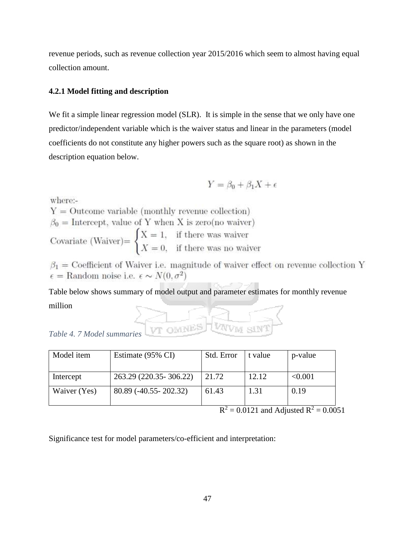revenue periods, such as revenue collection year 2015/2016 which seem to almost having equal collection amount.

# **4.2.1 Model fitting and description**

We fit a simple linear regression model (SLR). It is simple in the sense that we only have one predictor/independent variable which is the waiver status and linear in the parameters (model coefficients do not constitute any higher powers such as the square root) as shown in the description equation below.

$$
Y = \beta_0 + \beta_1 X + \epsilon
$$

where:-

 $Y =$  Outcome variable (monthly revenue collection)  $\beta_0 =$  Intercept, value of Y when X is zero(no waiver) Covariate (Waiver)=  $\begin{cases} X = 1, & \text{if there was a value} \\ X = 0, & \text{if there was no wavier} \end{cases}$ 

 $\beta_1$  = Coefficient of Waiver i.e. magnitude of waiver effect on revenue collection Y  $\epsilon =$ Random noise i.e.  $\epsilon \sim N(0, \sigma^2)$ 

Table below shows summary of model output and parameter estimates for monthly revenue million

| Table 4. 7 Model summaries |  |  |  |
|----------------------------|--|--|--|

| Model item   | Estimate (95% CI)        | Std. Error | t value | p-value |
|--------------|--------------------------|------------|---------|---------|
|              |                          |            |         |         |
| Intercept    | 263.29 (220.35 - 306.22) | 21.72      | 12.12   | < 0.001 |
| Waiver (Yes) | 80.89 (-40.55 - 202.32)  | 61.43      | 1.31    | 0.19    |
|              |                          |            |         |         |

 $R^2 = 0.0121$  and Adjusted  $R^2 = 0.0051$ 

Significance test for model parameters/co-efficient and interpretation: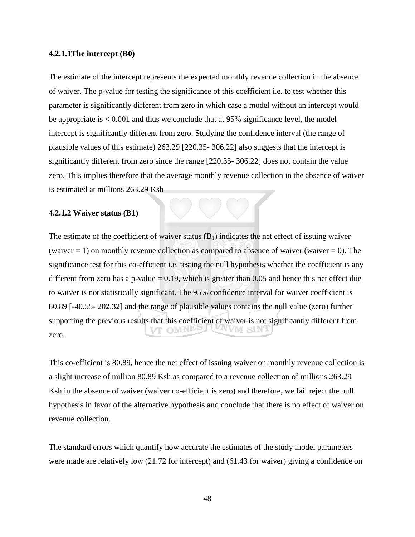#### **4.2.1.1The intercept (B0)**

The estimate of the intercept represents the expected monthly revenue collection in the absence of waiver. The p-value for testing the significance of this coefficient i.e. to test whether this parameter is significantly different from zero in which case a model without an intercept would be appropriate is < 0.001 and thus we conclude that at 95% significance level, the model intercept is significantly different from zero. Studying the confidence interval (the range of plausible values of this estimate) 263.29 [220.35- 306.22] also suggests that the intercept is significantly different from zero since the range [220.35- 306.22] does not contain the value zero. This implies therefore that the average monthly revenue collection in the absence of waiver is estimated at millions 263.29 Ksh

#### **4.2.1.2 Waiver status (B1)**

The estimate of the coefficient of waiver status  $(B_1)$  indicates the net effect of issuing waiver (waiver  $= 1$ ) on monthly revenue collection as compared to absence of waiver (waiver  $= 0$ ). The significance test for this co-efficient i.e. testing the null hypothesis whether the coefficient is any different from zero has a p-value  $\pm$  0.19, which is greater than 0.05 and hence this net effect due to waiver is not statistically significant. The 95% confidence interval for waiver coefficient is 80.89 [-40.55- 202.32] and the range of plausible values contains the null value (zero) further supporting the previous results that this coefficient of waiver is not significantly different from D'E OM NE WVM SINI zero.

This co-efficient is 80.89, hence the net effect of issuing waiver on monthly revenue collection is a slight increase of million 80.89 Ksh as compared to a revenue collection of millions 263.29 Ksh in the absence of waiver (waiver co-efficient is zero) and therefore, we fail reject the null hypothesis in favor of the alternative hypothesis and conclude that there is no effect of waiver on revenue collection.

The standard errors which quantify how accurate the estimates of the study model parameters were made are relatively low (21.72 for intercept) and (61.43 for waiver) giving a confidence on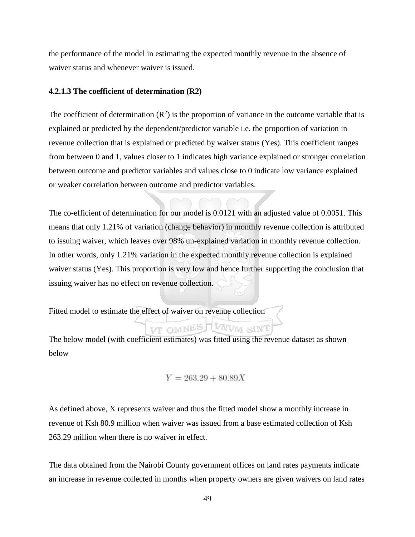the performance of the model in estimating the expected monthly revenue in the absence of waiver status and whenever waiver is issued.

#### **4.2.1.3 The coefficient of determination (R2)**

The coefficient of determination  $(R^2)$  is the proportion of variance in the outcome variable that is explained or predicted by the dependent/predictor variable i.e. the proportion of variation in revenue collection that is explained or predicted by waiver status (Yes). This coefficient ranges from between 0 and 1, values closer to 1 indicates high variance explained or stronger correlation between outcome and predictor variables and values close to 0 indicate low variance explained or weaker correlation between outcome and predictor variables.

The co-efficient of determination for our model is 0.0121 with an adjusted value of 0.0051. This means that only 1.21% of variation (change behavior) in monthly revenue collection is attributed to issuing waiver, which leaves over 98% un-explained variation in monthly revenue collection. In other words, only 1.21% variation in the expected monthly revenue collection is explained waiver status (Yes). This proportion is very low and hence further supporting the conclusion that issuing waiver has no effect on revenue collection.

Fitted model to estimate the effect of waiver on revenue collection

The below model (with coefficient estimates) was fitted using the revenue dataset as shown below

$$
Y = 263.29 + 80.89X
$$

VT OMNES TWWM SINT

As defined above, X represents waiver and thus the fitted model show a monthly increase in revenue of Ksh 80.9 million when waiver was issued from a base estimated collection of Ksh 263.29 million when there is no waiver in effect.

The data obtained from the Nairobi County government offices on land rates payments indicate an increase in revenue collected in months when property owners are given waivers on land rates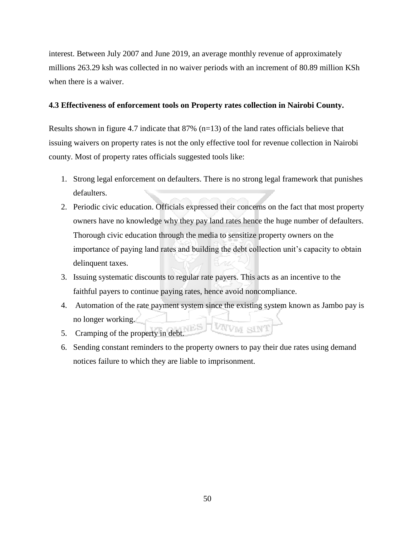interest. Between July 2007 and June 2019, an average monthly revenue of approximately millions 263.29 ksh was collected in no waiver periods with an increment of 80.89 million KSh when there is a waiver.

# **4.3 Effectiveness of enforcement tools on Property rates collection in Nairobi County.**

Results shown in figure 4.7 indicate that  $87\%$  (n=13) of the land rates officials believe that issuing waivers on property rates is not the only effective tool for revenue collection in Nairobi county. Most of property rates officials suggested tools like:

- 1. Strong legal enforcement on defaulters. There is no strong legal framework that punishes defaulters.
- 2. Periodic civic education. Officials expressed their concerns on the fact that most property owners have no knowledge why they pay land rates hence the huge number of defaulters. Thorough civic education through the media to sensitize property owners on the importance of paying land rates and building the debt collection unit's capacity to obtain delinquent taxes.
- 3. Issuing systematic discounts to regular rate payers. This acts as an incentive to the faithful payers to continue paying rates, hence avoid noncompliance.
- 4. Automation of the rate payment system since the existing system known as Jambo pay is no longer working. VWW SIN
- 5. Cramping of the property in debt.
- 6. Sending constant reminders to the property owners to pay their due rates using demand notices failure to which they are liable to imprisonment.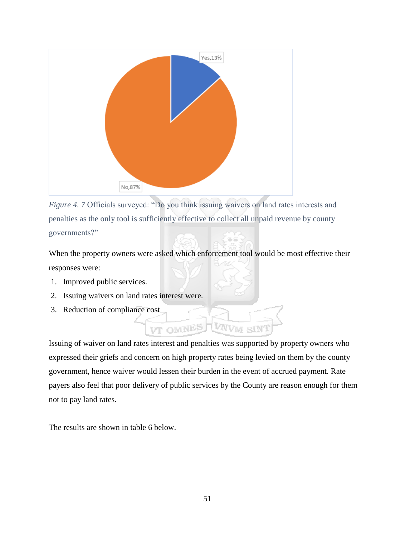

*Figure 4. 7* Officials surveyed: "Do you think issuing waivers on land rates interests and penalties as the only tool is sufficiently effective to collect all unpaid revenue by county governments?"

When the property owners were asked which enforcement tool would be most effective their responses were:

- 1. Improved public services.
- 2. Issuing waivers on land rates interest were.
- 3. Reduction of compliance cost

Issuing of waiver on land rates interest and penalties was supported by property owners who expressed their griefs and concern on high property rates being levied on them by the county government, hence waiver would lessen their burden in the event of accrued payment. Rate payers also feel that poor delivery of public services by the County are reason enough for them not to pay land rates.

VAN<sub>VM</sub>

SIN

VT OMNES

The results are shown in table 6 below.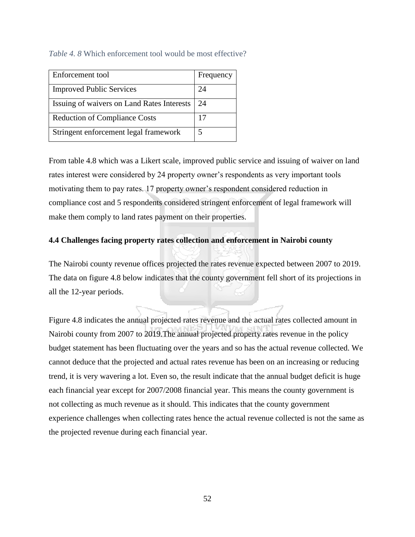# *Table 4. 8* Which enforcement tool would be most effective?

| Enforcement tool                           | Frequency |
|--------------------------------------------|-----------|
| <b>Improved Public Services</b>            | 24        |
| Issuing of waivers on Land Rates Interests | 24        |
| <b>Reduction of Compliance Costs</b>       | 17        |
| Stringent enforcement legal framework      |           |

From table 4.8 which was a Likert scale, improved public service and issuing of waiver on land rates interest were considered by 24 property owner's respondents as very important tools motivating them to pay rates. 17 property owner's respondent considered reduction in compliance cost and 5 respondents considered stringent enforcement of legal framework will make them comply to land rates payment on their properties.

# **4.4 Challenges facing property rates collection and enforcement in Nairobi county**

The Nairobi county revenue offices projected the rates revenue expected between 2007 to 2019. The data on figure 4.8 below indicates that the county government fell short of its projections in all the 12-year periods.

Figure 4.8 indicates the annual projected rates revenue and the actual rates collected amount in Nairobi county from 2007 to 2019.The annual projected property rates revenue in the policy budget statement has been fluctuating over the years and so has the actual revenue collected. We cannot deduce that the projected and actual rates revenue has been on an increasing or reducing trend, it is very wavering a lot. Even so, the result indicate that the annual budget deficit is huge each financial year except for 2007/2008 financial year. This means the county government is not collecting as much revenue as it should. This indicates that the county government experience challenges when collecting rates hence the actual revenue collected is not the same as the projected revenue during each financial year.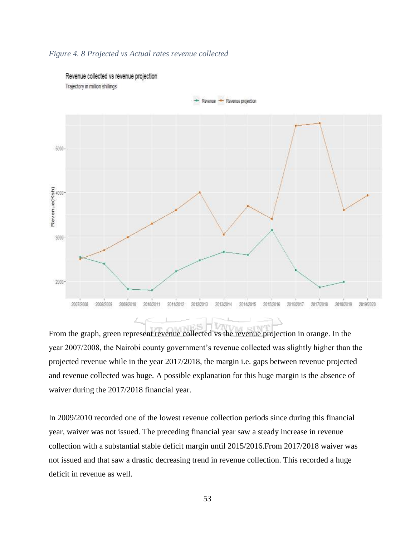

#### *Figure 4. 8 Projected vs Actual rates revenue collected*

From the graph, green represent revenue collected vs the revenue projection in orange. In the year 2007/2008, the Nairobi county government's revenue collected was slightly higher than the projected revenue while in the year 2017/2018, the margin i.e. gaps between revenue projected and revenue collected was huge. A possible explanation for this huge margin is the absence of waiver during the 2017/2018 financial year.

In 2009/2010 recorded one of the lowest revenue collection periods since during this financial year, waiver was not issued. The preceding financial year saw a steady increase in revenue collection with a substantial stable deficit margin until 2015/2016.From 2017/2018 waiver was not issued and that saw a drastic decreasing trend in revenue collection. This recorded a huge deficit in revenue as well.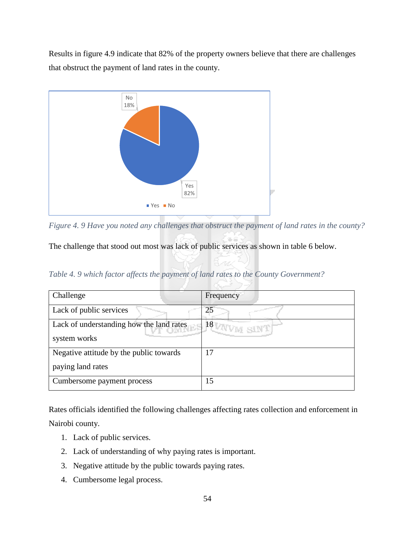Results in figure 4.9 indicate that 82% of the property owners believe that there are challenges that obstruct the payment of land rates in the county.



*Figure 4. 9 Have you noted any challenges that obstruct the payment of land rates in the county?* 

The challenge that stood out most was lack of public services as shown in table 6 below.

*Table 4. 9 which factor affects the payment of land rates to the County Government?* 

| Challenge                                | Frequency                  |
|------------------------------------------|----------------------------|
| Lack of public services                  | 25                         |
| Lack of understanding how the land rates | 1 <sup>18</sup> VAVM SIN V |
| system works                             |                            |
| Negative attitude by the public towards  | 17                         |
| paying land rates                        |                            |
| Cumbersome payment process               | 15                         |

Rates officials identified the following challenges affecting rates collection and enforcement in Nairobi county.

- 1. Lack of public services.
- 2. Lack of understanding of why paying rates is important.
- 3. Negative attitude by the public towards paying rates.
- 4. Cumbersome legal process.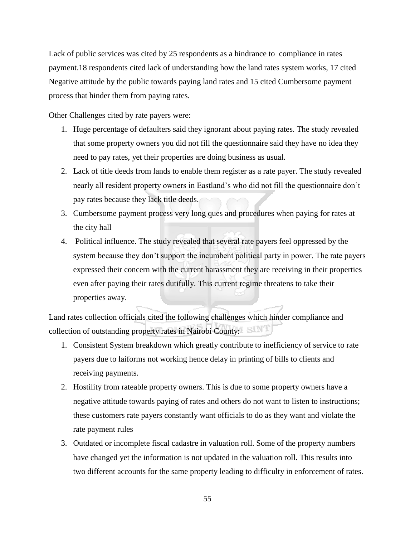Lack of public services was cited by 25 respondents as a hindrance to compliance in rates payment.18 respondents cited lack of understanding how the land rates system works, 17 cited Negative attitude by the public towards paying land rates and 15 cited Cumbersome payment process that hinder them from paying rates.

Other Challenges cited by rate payers were:

- 1. Huge percentage of defaulters said they ignorant about paying rates. The study revealed that some property owners you did not fill the questionnaire said they have no idea they need to pay rates, yet their properties are doing business as usual.
- 2. Lack of title deeds from lands to enable them register as a rate payer. The study revealed nearly all resident property owners in Eastland's who did not fill the questionnaire don't pay rates because they lack title deeds.
- 3. Cumbersome payment process very long ques and procedures when paying for rates at the city hall
- 4. Political influence. The study revealed that several rate payers feel oppressed by the system because they don't support the incumbent political party in power. The rate payers expressed their concern with the current harassment they are receiving in their properties even after paying their rates dutifully. This current regime threatens to take their properties away.

Land rates collection officials cited the following challenges which hinder compliance and collection of outstanding property rates in Nairobi County:

- 1. Consistent System breakdown which greatly contribute to inefficiency of service to rate payers due to laiforms not working hence delay in printing of bills to clients and receiving payments.
- 2. Hostility from rateable property owners. This is due to some property owners have a negative attitude towards paying of rates and others do not want to listen to instructions; these customers rate payers constantly want officials to do as they want and violate the rate payment rules
- 3. Outdated or incomplete fiscal cadastre in valuation roll. Some of the property numbers have changed yet the information is not updated in the valuation roll. This results into two different accounts for the same property leading to difficulty in enforcement of rates.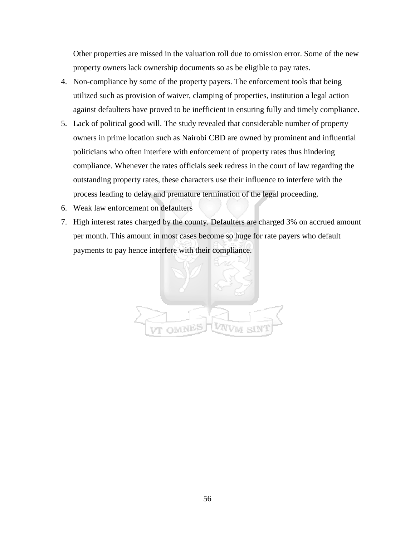Other properties are missed in the valuation roll due to omission error. Some of the new property owners lack ownership documents so as be eligible to pay rates.

- 4. Non-compliance by some of the property payers. The enforcement tools that being utilized such as provision of waiver, clamping of properties, institution a legal action against defaulters have proved to be inefficient in ensuring fully and timely compliance.
- 5. Lack of political good will. The study revealed that considerable number of property owners in prime location such as Nairobi CBD are owned by prominent and influential politicians who often interfere with enforcement of property rates thus hindering compliance. Whenever the rates officials seek redress in the court of law regarding the outstanding property rates, these characters use their influence to interfere with the process leading to delay and premature termination of the legal proceeding.
- 6. Weak law enforcement on defaulters
- 7. High interest rates charged by the county. Defaulters are charged 3% on accrued amount per month. This amount in most cases become so huge for rate payers who default payments to pay hence interfere with their compliance.

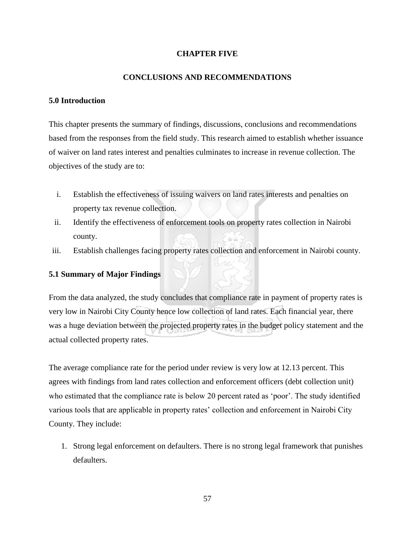# **CHAPTER FIVE**

# **CONCLUSIONS AND RECOMMENDATIONS**

# **5.0 Introduction**

This chapter presents the summary of findings, discussions, conclusions and recommendations based from the responses from the field study. This research aimed to establish whether issuance of waiver on land rates interest and penalties culminates to increase in revenue collection. The objectives of the study are to:

- i. Establish the effectiveness of issuing waivers on land rates interests and penalties on property tax revenue collection.
- ii. Identify the effectiveness of enforcement tools on property rates collection in Nairobi county.
- iii. Establish challenges facing property rates collection and enforcement in Nairobi county.

# **5.1 Summary of Major Findings**

From the data analyzed, the study concludes that compliance rate in payment of property rates is very low in Nairobi City County hence low collection of land rates. Each financial year, there was a huge deviation between the projected property rates in the budget policy statement and the actual collected property rates.

The average compliance rate for the period under review is very low at 12.13 percent. This agrees with findings from land rates collection and enforcement officers (debt collection unit) who estimated that the compliance rate is below 20 percent rated as 'poor'. The study identified various tools that are applicable in property rates' collection and enforcement in Nairobi City County. They include:

1. Strong legal enforcement on defaulters. There is no strong legal framework that punishes defaulters.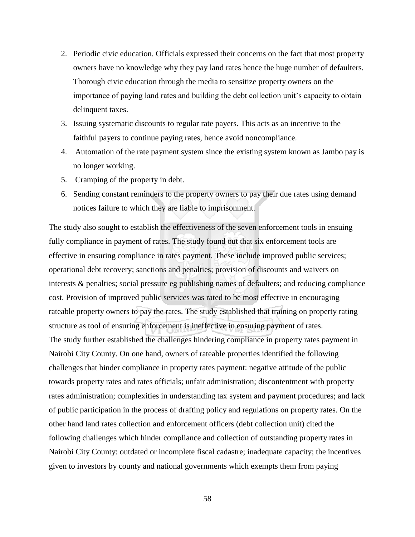- 2. Periodic civic education. Officials expressed their concerns on the fact that most property owners have no knowledge why they pay land rates hence the huge number of defaulters. Thorough civic education through the media to sensitize property owners on the importance of paying land rates and building the debt collection unit's capacity to obtain delinquent taxes.
- 3. Issuing systematic discounts to regular rate payers. This acts as an incentive to the faithful payers to continue paying rates, hence avoid noncompliance.
- 4. Automation of the rate payment system since the existing system known as Jambo pay is no longer working.
- 5. Cramping of the property in debt.
- 6. Sending constant reminders to the property owners to pay their due rates using demand notices failure to which they are liable to imprisonment.

The study also sought to establish the effectiveness of the seven enforcement tools in ensuing fully compliance in payment of rates. The study found out that six enforcement tools are effective in ensuring compliance in rates payment. These include improved public services; operational debt recovery; sanctions and penalties; provision of discounts and waivers on interests & penalties; social pressure eg publishing names of defaulters; and reducing compliance cost. Provision of improved public services was rated to be most effective in encouraging rateable property owners to pay the rates. The study established that training on property rating structure as tool of ensuring enforcement is ineffective in ensuring payment of rates. The study further established the challenges hindering compliance in property rates payment in Nairobi City County. On one hand, owners of rateable properties identified the following challenges that hinder compliance in property rates payment: negative attitude of the public towards property rates and rates officials; unfair administration; discontentment with property rates administration; complexities in understanding tax system and payment procedures; and lack of public participation in the process of drafting policy and regulations on property rates. On the other hand land rates collection and enforcement officers (debt collection unit) cited the following challenges which hinder compliance and collection of outstanding property rates in Nairobi City County: outdated or incomplete fiscal cadastre; inadequate capacity; the incentives given to investors by county and national governments which exempts them from paying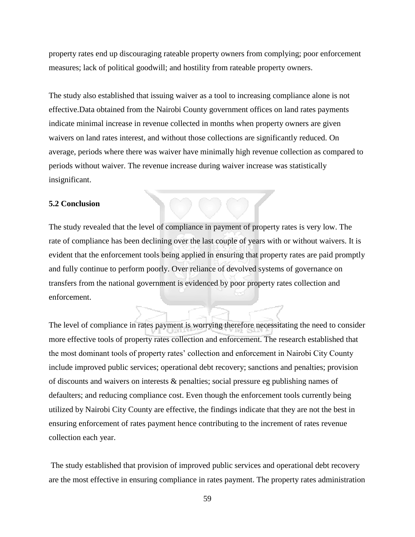property rates end up discouraging rateable property owners from complying; poor enforcement measures; lack of political goodwill; and hostility from rateable property owners.

The study also established that issuing waiver as a tool to increasing compliance alone is not effective.Data obtained from the Nairobi County government offices on land rates payments indicate minimal increase in revenue collected in months when property owners are given waivers on land rates interest, and without those collections are significantly reduced. On average, periods where there was waiver have minimally high revenue collection as compared to periods without waiver. The revenue increase during waiver increase was statistically insignificant.

### **5.2 Conclusion**

The study revealed that the level of compliance in payment of property rates is very low. The rate of compliance has been declining over the last couple of years with or without waivers. It is evident that the enforcement tools being applied in ensuring that property rates are paid promptly and fully continue to perform poorly. Over reliance of devolved systems of governance on transfers from the national government is evidenced by poor property rates collection and enforcement.

The level of compliance in rates payment is worrying therefore necessitating the need to consider more effective tools of property rates collection and enforcement. The research established that the most dominant tools of property rates' collection and enforcement in Nairobi City County include improved public services; operational debt recovery; sanctions and penalties; provision of discounts and waivers on interests & penalties; social pressure eg publishing names of defaulters; and reducing compliance cost. Even though the enforcement tools currently being utilized by Nairobi City County are effective, the findings indicate that they are not the best in ensuring enforcement of rates payment hence contributing to the increment of rates revenue collection each year.

The study established that provision of improved public services and operational debt recovery are the most effective in ensuring compliance in rates payment. The property rates administration

59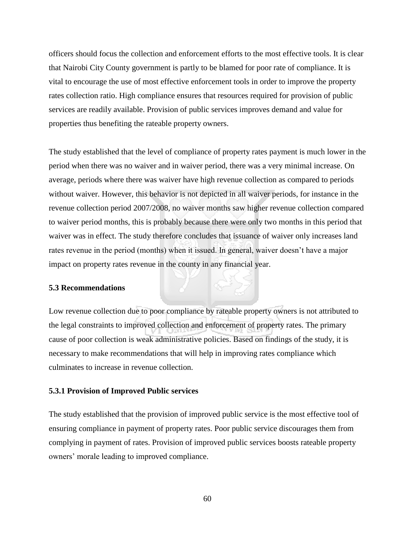officers should focus the collection and enforcement efforts to the most effective tools. It is clear that Nairobi City County government is partly to be blamed for poor rate of compliance. It is vital to encourage the use of most effective enforcement tools in order to improve the property rates collection ratio. High compliance ensures that resources required for provision of public services are readily available. Provision of public services improves demand and value for properties thus benefiting the rateable property owners.

The study established that the level of compliance of property rates payment is much lower in the period when there was no waiver and in waiver period, there was a very minimal increase. On average, periods where there was waiver have high revenue collection as compared to periods without waiver. However, this behavior is not depicted in all waiver periods, for instance in the revenue collection period 2007/2008, no waiver months saw higher revenue collection compared to waiver period months, this is probably because there were only two months in this period that waiver was in effect. The study therefore concludes that issuance of waiver only increases land rates revenue in the period (months) when it issued. In general, waiver doesn't have a major impact on property rates revenue in the county in any financial year.

### **5.3 Recommendations**

Low revenue collection due to poor compliance by rateable property owners is not attributed to the legal constraints to improved collection and enforcement of property rates. The primary cause of poor collection is weak administrative policies. Based on findings of the study, it is necessary to make recommendations that will help in improving rates compliance which culminates to increase in revenue collection.

### **5.3.1 Provision of Improved Public services**

The study established that the provision of improved public service is the most effective tool of ensuring compliance in payment of property rates. Poor public service discourages them from complying in payment of rates. Provision of improved public services boosts rateable property owners' morale leading to improved compliance.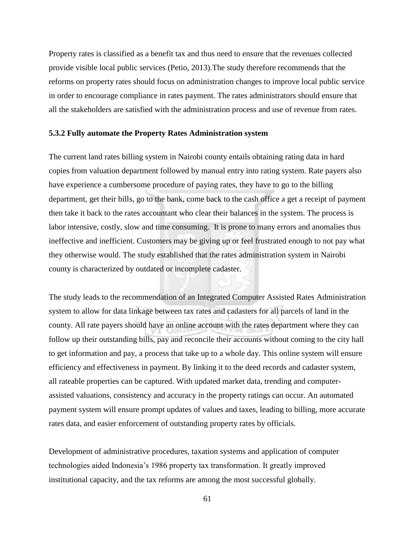Property rates is classified as a benefit tax and thus need to ensure that the revenues collected provide visible local public services (Petio, 2013).The study therefore recommends that the reforms on property rates should focus on administration changes to improve local public service in order to encourage compliance in rates payment. The rates administrators should ensure that all the stakeholders are satisfied with the administration process and use of revenue from rates.

### **5.3.2 Fully automate the Property Rates Administration system**

The current land rates billing system in Nairobi county entails obtaining rating data in hard copies from valuation department followed by manual entry into rating system. Rate payers also have experience a cumbersome procedure of paying rates, they have to go to the billing department, get their bills, go to the bank, come back to the cash office a get a receipt of payment then take it back to the rates accountant who clear their balances in the system. The process is labor intensive, costly, slow and time consuming. It is prone to many errors and anomalies thus ineffective and inefficient. Customers may be giving up or feel frustrated enough to not pay what they otherwise would. The study established that the rates administration system in Nairobi county is characterized by outdated or incomplete cadaster.

The study leads to the recommendation of an Integrated Computer Assisted Rates Administration system to allow for data linkage between tax rates and cadasters for all parcels of land in the county. All rate payers should have an online account with the rates department where they can follow up their outstanding bills, pay and reconcile their accounts without coming to the city hall to get information and pay, a process that take up to a whole day. This online system will ensure efficiency and effectiveness in payment. By linking it to the deed records and cadaster system, all rateable properties can be captured. With updated market data, trending and computerassisted valuations, consistency and accuracy in the property ratings can occur. An automated payment system will ensure prompt updates of values and taxes, leading to billing, more accurate rates data, and easier enforcement of outstanding property rates by officials.

Development of administrative procedures, taxation systems and application of computer technologies aided Indonesia's 1986 property tax transformation. It greatly improved institutional capacity, and the tax reforms are among the most successful globally.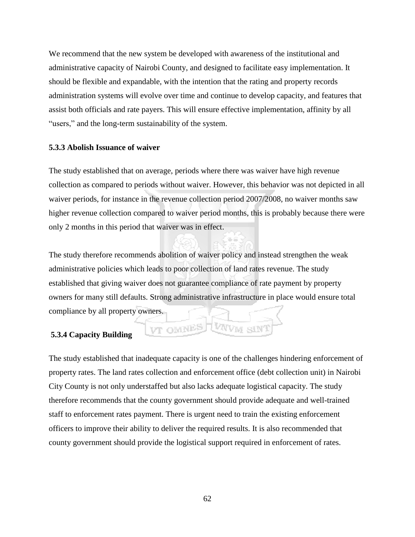We recommend that the new system be developed with awareness of the institutional and administrative capacity of Nairobi County, and designed to facilitate easy implementation. It should be flexible and expandable, with the intention that the rating and property records administration systems will evolve over time and continue to develop capacity, and features that assist both officials and rate payers. This will ensure effective implementation, affinity by all "users," and the long-term sustainability of the system.

### **5.3.3 Abolish Issuance of waiver**

The study established that on average, periods where there was waiver have high revenue collection as compared to periods without waiver. However, this behavior was not depicted in all waiver periods, for instance in the revenue collection period 2007/2008, no waiver months saw higher revenue collection compared to waiver period months, this is probably because there were only 2 months in this period that waiver was in effect.

The study therefore recommends abolition of waiver policy and instead strengthen the weak administrative policies which leads to poor collection of land rates revenue. The study established that giving waiver does not guarantee compliance of rate payment by property owners for many still defaults. Strong administrative infrastructure in place would ensure total compliance by all property owners.

VT OMNES

WWM SIN

## **5.3.4 Capacity Building**

The study established that inadequate capacity is one of the challenges hindering enforcement of property rates. The land rates collection and enforcement office (debt collection unit) in Nairobi City County is not only understaffed but also lacks adequate logistical capacity. The study therefore recommends that the county government should provide adequate and well-trained staff to enforcement rates payment. There is urgent need to train the existing enforcement officers to improve their ability to deliver the required results. It is also recommended that county government should provide the logistical support required in enforcement of rates.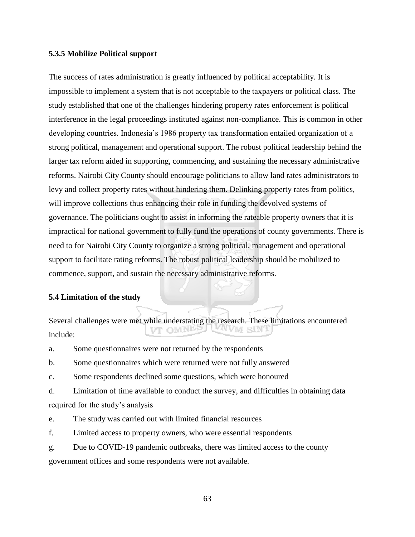### **5.3.5 Mobilize Political support**

The success of rates administration is greatly influenced by political acceptability. It is impossible to implement a system that is not acceptable to the taxpayers or political class. The study established that one of the challenges hindering property rates enforcement is political interference in the legal proceedings instituted against non-compliance. This is common in other developing countries. Indonesia's 1986 property tax transformation entailed organization of a strong political, management and operational support. The robust political leadership behind the larger tax reform aided in supporting, commencing, and sustaining the necessary administrative reforms. Nairobi City County should encourage politicians to allow land rates administrators to levy and collect property rates without hindering them. Delinking property rates from politics, will improve collections thus enhancing their role in funding the devolved systems of governance. The politicians ought to assist in informing the rateable property owners that it is impractical for national government to fully fund the operations of county governments. There is need to for Nairobi City County to organize a strong political, management and operational support to facilitate rating reforms. The robust political leadership should be mobilized to commence, support, and sustain the necessary administrative reforms.

#### **5.4 Limitation of the study**

Several challenges were met while understating the research. These limitations encountered VT OMNE) UWW SIN include:

a. Some questionnaires were not returned by the respondents

b. Some questionnaires which were returned were not fully answered

c. Some respondents declined some questions, which were honoured

d. Limitation of time available to conduct the survey, and difficulties in obtaining data required for the study's analysis

e. The study was carried out with limited financial resources

f. Limited access to property owners, who were essential respondents

g. Due to COVID-19 pandemic outbreaks, there was limited access to the county government offices and some respondents were not available.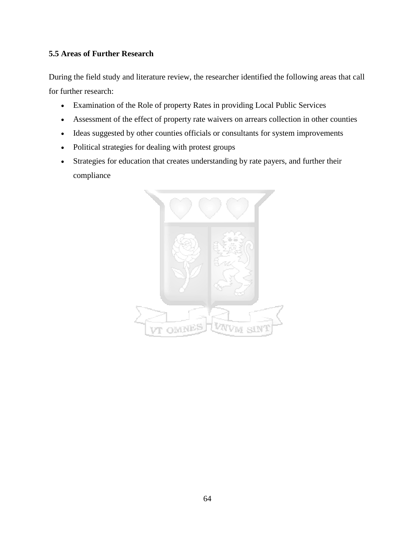# **5.5 Areas of Further Research**

During the field study and literature review, the researcher identified the following areas that call for further research:

- Examination of the Role of property Rates in providing Local Public Services
- Assessment of the effect of property rate waivers on arrears collection in other counties
- Ideas suggested by other counties officials or consultants for system improvements
- Political strategies for dealing with protest groups
- Strategies for education that creates understanding by rate payers, and further their compliance

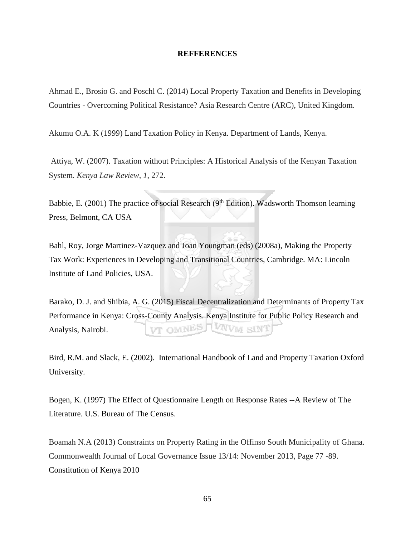### **REFFERENCES**

Ahmad E., Brosio G. and Poschl C. (2014) Local Property Taxation and Benefits in Developing Countries - Overcoming Political Resistance? Asia Research Centre (ARC), United Kingdom.

Akumu O.A. K (1999) Land Taxation Policy in Kenya. Department of Lands, Kenya.

Attiya, W. (2007). Taxation without Principles: A Historical Analysis of the Kenyan Taxation System. *Kenya Law Review*, *1*, 272.

Babbie, E. (2001) The practice of social Research (9<sup>th</sup> Edition). Wadsworth Thomson learning Press, Belmont, CA USA

Bahl, Roy, Jorge Martinez-Vazquez and Joan Youngman (eds) (2008a), Making the Property Tax Work: Experiences in Developing and Transitional Countries, Cambridge. MA: Lincoln Institute of Land Policies, USA.

Barako, D. J. and Shibia, A. G. (2015) Fiscal Decentralization and Determinants of Property Tax Performance in Kenya: Cross-County Analysis. Kenya Institute for Public Policy Research and UWW sint **VT OMNES** Analysis, Nairobi.

Bird, R.M. and Slack, E. (2002). International Handbook of Land and Property Taxation Oxford University.

Bogen, K. (1997) The Effect of Questionnaire Length on Response Rates --A Review of The Literature. U.S. Bureau of The Census.

Boamah N.A (2013) Constraints on Property Rating in the Offinso South Municipality of Ghana. Commonwealth Journal of Local Governance Issue 13/14: November 2013, Page 77 -89. Constitution of Kenya 2010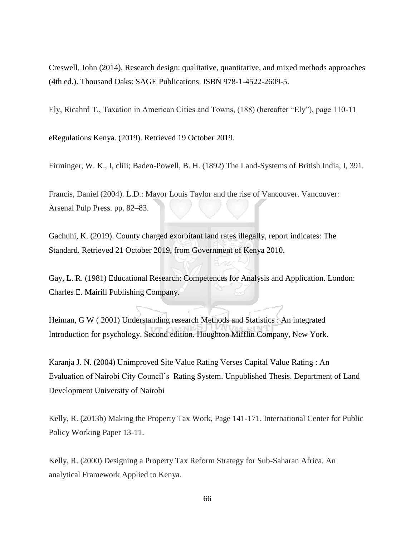Creswell, John (2014). Research design: qualitative, quantitative, and mixed methods approaches (4th ed.). Thousand Oaks: SAGE Publications. ISBN 978-1-4522-2609-5.

Ely, Ricahrd T., Taxation in American Cities and Towns, (188) (hereafter "Ely"), page 110-11

eRegulations Kenya. (2019). Retrieved 19 October 2019.

Firminger, W. K., I, cliii; Baden-Powell, B. H. (1892) The Land-Systems of British India, I, 391.

Francis, Daniel (2004). L.D.: Mayor Louis Taylor and the rise of Vancouver. Vancouver: Arsenal Pulp Press. pp. 82–83.

Gachuhi, K. (2019). County charged exorbitant land rates illegally, report indicates: The Standard. Retrieved 21 October 2019, from Government of Kenya 2010.

Gay, L. R. (1981) Educational Research: Competences for Analysis and Application. London: Charles E. Mairill Publishing Company.

Heiman, G W ( 2001) Understanding research Methods and Statistics : An integrated Introduction for psychology. Second edition. Houghton Mifflin Company, New York.

Karanja J. N. (2004) Unimproved Site Value Rating Verses Capital Value Rating : An Evaluation of Nairobi City Council's Rating System. Unpublished Thesis. Department of Land Development University of Nairobi

Kelly, R. (2013b) Making the Property Tax Work, Page 141-171. International Center for Public Policy Working Paper 13-11.

Kelly, R. (2000) Designing a Property Tax Reform Strategy for Sub-Saharan Africa. An analytical Framework Applied to Kenya.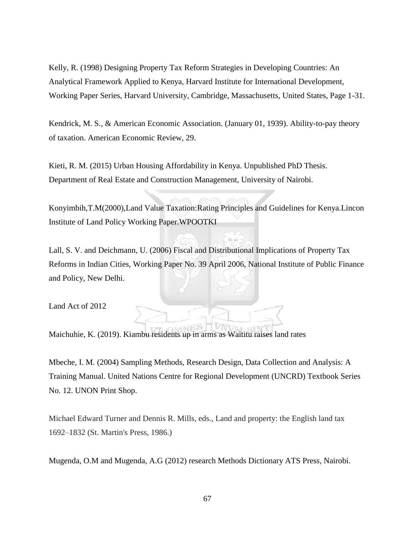Kelly, R. (1998) Designing Property Tax Reform Strategies in Developing Countries: An Analytical Framework Applied to Kenya, Harvard Institute for International Development, Working Paper Series, Harvard University, Cambridge, Massachusetts, United States, Page 1-31.

Kendrick, M. S., & American Economic Association. (January 01, 1939). Ability-to-pay theory of taxation. American Economic Review*,* 29.

Kieti, R. M. (2015) Urban Housing Affordability in Kenya. Unpublished PhD Thesis. Department of Real Estate and Construction Management, University of Nairobi.

Konyimbih,T.M(2000),Land Value Taxation:Rating Principles and Guidelines for Kenya.Lincon Institute of Land Policy Working Paper.WPOOTKI

Lall, S. V. and Deichmann, U. (2006) Fiscal and Distributional Implications of Property Tax Reforms in Indian Cities, Working Paper No. 39 April 2006, National Institute of Public Finance and Policy, New Delhi.

Land Act of 2012

Maichuhie, K. (2019). Kiambu residents up in arms as Waititu raises land rates

Mbeche, I. M. (2004) Sampling Methods, Research Design, Data Collection and Analysis: A Training Manual. United Nations Centre for Regional Development (UNCRD) Textbook Series No. 12. UNON Print Shop.

Michael Edward Turner and Dennis R. Mills, eds., Land and property: the English land tax 1692–1832 (St. Martin's Press, 1986.)

Mugenda, O.M and Mugenda, A.G (2012) research Methods Dictionary ATS Press, Nairobi.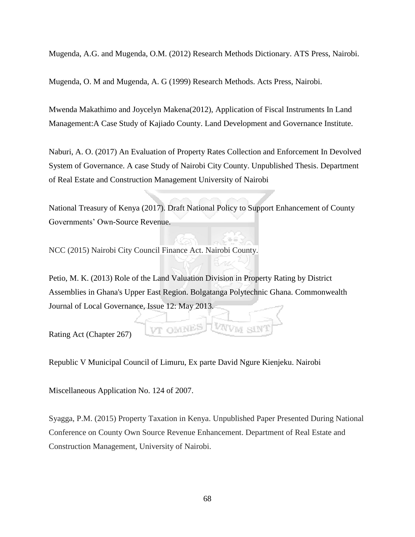Mugenda, A.G. and Mugenda, O.M. (2012) Research Methods Dictionary. ATS Press, Nairobi.

Mugenda, O. M and Mugenda, A. G (1999) Research Methods. Acts Press, Nairobi.

Mwenda Makathimo and Joycelyn Makena(2012), Application of Fiscal Instruments In Land Management:A Case Study of Kajiado County. Land Development and Governance Institute.

Naburi, A. O. (2017) An Evaluation of Property Rates Collection and Enforcement In Devolved System of Governance. A case Study of Nairobi City County. Unpublished Thesis. Department of Real Estate and Construction Management University of Nairobi

National Treasury of Kenya (2017). Draft National Policy to Support Enhancement of County Governments' Own-Source Revenue.

NCC (2015) Nairobi City Council Finance Act. Nairobi County.

Petio, M. K. (2013) Role of the Land Valuation Division in Property Rating by District Assemblies in Ghana's Upper East Region. Bolgatanga Polytechnic Ghana. Commonwealth Journal of Local Governance, Issue 12: May 2013.

Rating Act (Chapter 267)

Republic V Municipal Council of Limuru, Ex parte David Ngure Kienjeku. Nairobi

VT OMNES

Miscellaneous Application No. 124 of 2007.

Syagga, P.M. (2015) Property Taxation in Kenya. Unpublished Paper Presented During National Conference on County Own Source Revenue Enhancement. Department of Real Estate and Construction Management, University of Nairobi.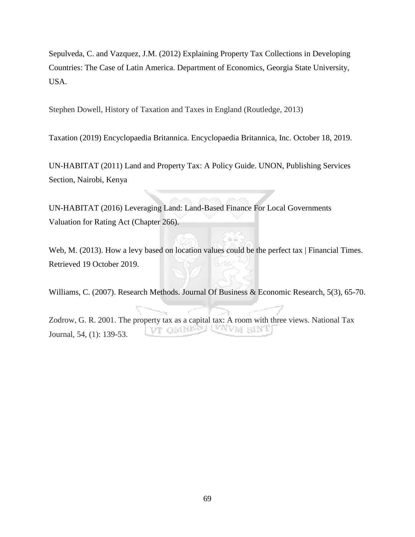Sepulveda, C. and Vazquez, J.M. (2012) Explaining Property Tax Collections in Developing Countries: The Case of Latin America. Department of Economics, Georgia State University, USA.

Stephen Dowell, History of Taxation and Taxes in England (Routledge, 2013)

Taxation (2019) Encyclopaedia Britannica. Encyclopaedia Britannica, Inc. October 18, 2019.

UN-HABITAT (2011) Land and Property Tax: A Policy Guide. UNON, Publishing Services Section, Nairobi, Kenya

UN-HABITAT (2016) Leveraging Land: Land-Based Finance For Local Governments Valuation for Rating Act (Chapter 266).

Web, M. (2013). How a levy based on location values could be the perfect tax | Financial Times. Retrieved 19 October 2019.

Williams, C. (2007). Research Methods. Journal Of Business & Economic Research, 5(3), 65-70.

Zodrow, G. R. 2001. The property tax as a capital tax: A room with three views. National Tax **USCIND TV** Journal, 54, (1): 139-53.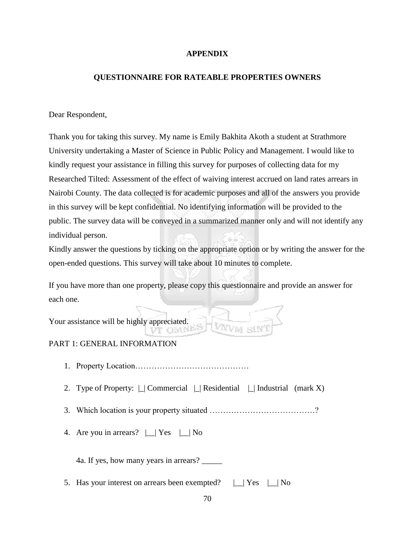### **APPENDIX**

### **QUESTIONNAIRE FOR RATEABLE PROPERTIES OWNERS**

### Dear Respondent,

Thank you for taking this survey. My name is Emily Bakhita Akoth a student at Strathmore University undertaking a Master of Science in Public Policy and Management. I would like to kindly request your assistance in filling this survey for purposes of collecting data for my Researched Tilted: Assessment of the effect of waiving interest accrued on land rates arrears in Nairobi County. The data collected is for academic purposes and all of the answers you provide in this survey will be kept confidential. No identifying information will be provided to the public. The survey data will be conveyed in a summarized manner only and will not identify any individual person.

Kindly answer the questions by ticking on the appropriate option or by writing the answer for the open-ended questions. This survey will take about 10 minutes to complete.

If you have more than one property, please copy this questionnaire and provide an answer for each one.

Your assistance will be highly appreciated.

# PART 1: GENERAL INFORMATION

- 1. Property Location……………………………………
- 2. Type of Property:  $\Box$  Commercial  $\Box$  Residential  $\Box$  Industrial (mark X)
- 3. Which location is your property situated …………………………………?
- 4. Are you in arrears?  $\Box$  Yes  $\Box$  No

4a. If yes, how many years in arrears? \_\_\_\_\_

5. Has your interest on arrears been exempted?  $\Box$  Yes  $\Box$  No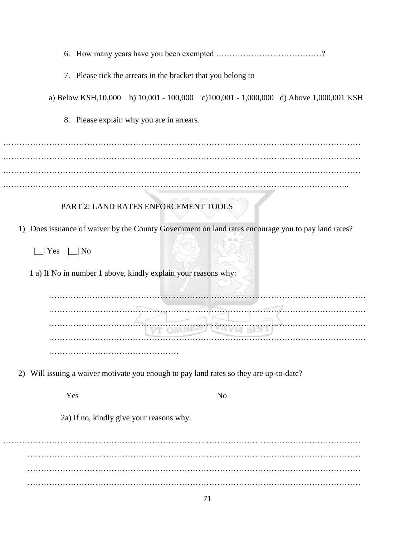|                                                                                                       | 7. Please tick the arrears in the bracket that you belong to                           |                |  |
|-------------------------------------------------------------------------------------------------------|----------------------------------------------------------------------------------------|----------------|--|
|                                                                                                       | a) Below KSH, 10,000 b) 10,001 - 100,000 c) 100,001 - 1,000,000 d) Above 1,000,001 KSH |                |  |
|                                                                                                       | 8. Please explain why you are in arrears.                                              |                |  |
|                                                                                                       |                                                                                        |                |  |
|                                                                                                       |                                                                                        |                |  |
|                                                                                                       |                                                                                        |                |  |
|                                                                                                       | PART 2: LAND RATES ENFORCEMENT TOOLS                                                   |                |  |
| Does issuance of waiver by the County Government on land rates encourage you to pay land rates?<br>1) |                                                                                        |                |  |
| $\Box$ Yes<br>$\lfloor \_ \rfloor$ No                                                                 |                                                                                        |                |  |
| 1 a) If No in number 1 above, kindly explain your reasons why:                                        |                                                                                        |                |  |
|                                                                                                       |                                                                                        |                |  |
|                                                                                                       |                                                                                        |                |  |
|                                                                                                       |                                                                                        |                |  |
|                                                                                                       |                                                                                        |                |  |
| Will issuing a waiver motivate you enough to pay land rates so they are up-to-date?<br>2)             |                                                                                        |                |  |
| Yes                                                                                                   |                                                                                        | N <sub>o</sub> |  |
|                                                                                                       | 2a) If no, kindly give your reasons why.                                               |                |  |
|                                                                                                       |                                                                                        |                |  |
|                                                                                                       |                                                                                        |                |  |
|                                                                                                       |                                                                                        |                |  |
|                                                                                                       |                                                                                        |                |  |

71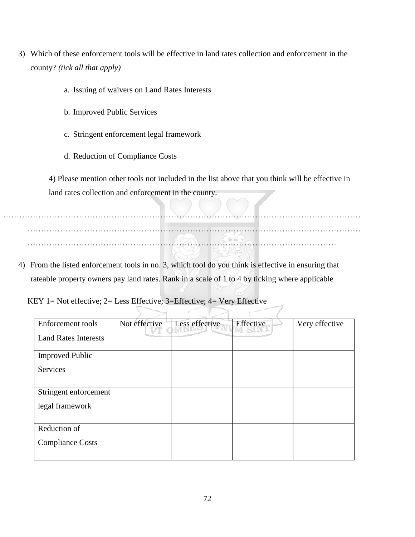- 3) Which of these enforcement tools will be effective in land rates collection and enforcement in the county? *(tick all that apply)*
	- a. Issuing of waivers on Land Rates Interests
	- b. Improved Public Services
	- c. Stringent enforcement legal framework
	- d. Reduction of Compliance Costs

4) Please mention other tools not included in the list above that you think will be effective in land rates collection and enforcement in the county.

…………………………………………………………………………………………………………………… …………………………………………………………………………………………………………… ……………………………………………………………………………………………………

4) From the listed enforcement tools in no. 3, which tool do you think is effective in ensuring that rateable property owners pay land rates. Rank in a scale of 1 to 4 by ticking where applicable

KEY 1= Not effective; 2= Less Effective; 3=Effective; 4= Very Effective

| Enforcement tools           | Not effective | Less effective | Effective | Very effective |
|-----------------------------|---------------|----------------|-----------|----------------|
| <b>Land Rates Interests</b> |               |                |           |                |
| <b>Improved Public</b>      |               |                |           |                |
| <b>Services</b>             |               |                |           |                |
| Stringent enforcement       |               |                |           |                |
| legal framework             |               |                |           |                |
| Reduction of                |               |                |           |                |
| <b>Compliance Costs</b>     |               |                |           |                |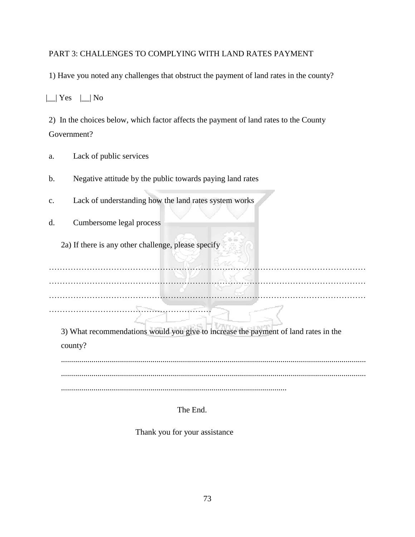# PART 3: CHALLENGES TO COMPLYING WITH LAND RATES PAYMENT

1) Have you noted any challenges that obstruct the payment of land rates in the county?

|\_\_| Yes |\_\_| No

2) In the choices below, which factor affects the payment of land rates to the County Government?

- a. Lack of public services
- b. Negative attitude by the public towards paying land rates
- c. Lack of understanding how the land rates system works
- d. Cumbersome legal process

2a) If there is any other challenge, please specify

……………………………………………………

……………………………………………………………………………………………………… ……………………………………………………………………………………………………… ………………………………………………………………………………………………………

3) What recommendations would you give to increase the payment of land rates in the county?

...................................................................................................................................................... ...................................................................................................................................................... ...............................................................................................................

The End.

Thank you for your assistance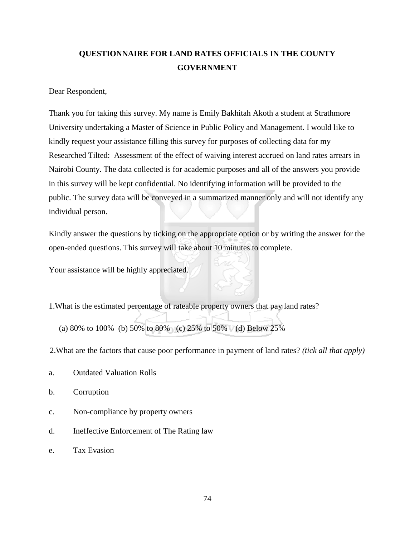# **QUESTIONNAIRE FOR LAND RATES OFFICIALS IN THE COUNTY GOVERNMENT**

Dear Respondent,

Thank you for taking this survey. My name is Emily Bakhitah Akoth a student at Strathmore University undertaking a Master of Science in Public Policy and Management. I would like to kindly request your assistance filling this survey for purposes of collecting data for my Researched Tilted: Assessment of the effect of waiving interest accrued on land rates arrears in Nairobi County. The data collected is for academic purposes and all of the answers you provide in this survey will be kept confidential. No identifying information will be provided to the public. The survey data will be conveyed in a summarized manner only and will not identify any individual person.

Kindly answer the questions by ticking on the appropriate option or by writing the answer for the open-ended questions. This survey will take about 10 minutes to complete.

Your assistance will be highly appreciated.

1.What is the estimated percentage of rateable property owners that pay land rates?

(a) 80% to 100% (b) 50% to 80% (c) 25% to 50% (d) Below 25%

2.What are the factors that cause poor performance in payment of land rates? *(tick all that apply)*

- a. Outdated Valuation Rolls
- b. Corruption
- c. Non-compliance by property owners
- d. Ineffective Enforcement of The Rating law
- e. Tax Evasion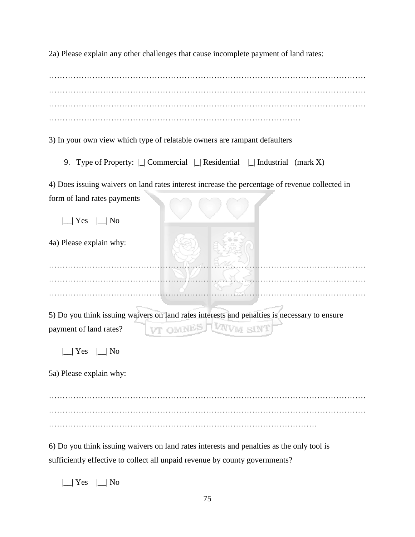2a) Please explain any other challenges that cause incomplete payment of land rates:

……………………………………………………………………………………………………… ………………………………………………………………………………………………………

3) In your own view which type of relatable owners are rampant defaulters

9. Type of Property:  $\Box$  Commercial  $\Box$  Residential  $\Box$  Industrial (mark X)

4) Does issuing waivers on land rates interest increase the percentage of revenue collected in form of land rates payments 

| Yes<br>N <sub>0</sub>   |                                                                                                                            |
|-------------------------|----------------------------------------------------------------------------------------------------------------------------|
| 4a) Please explain why: |                                                                                                                            |
|                         |                                                                                                                            |
|                         |                                                                                                                            |
| payment of land rates?  | 5) Do you think issuing waivers on land rates interests and penalties is necessary to ensure<br>VT OMNES TWW<br><b>SIN</b> |
| Yes<br>No               |                                                                                                                            |
|                         |                                                                                                                            |
| 5a) Please explain why: |                                                                                                                            |
|                         |                                                                                                                            |
|                         |                                                                                                                            |

6) Do you think issuing waivers on land rates interests and penalties as the only tool is sufficiently effective to collect all unpaid revenue by county governments?

 $|\_$ | Yes  $|\_$ | No